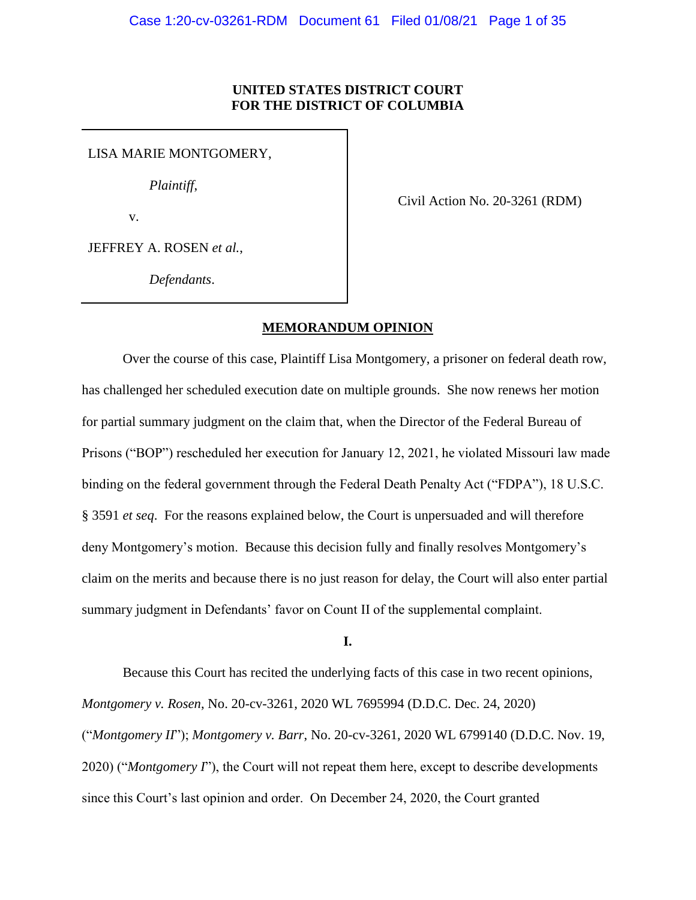# **UNITED STATES DISTRICT COURT FOR THE DISTRICT OF COLUMBIA**

LISA MARIE MONTGOMERY,

 *Plaintiff*,

v.

Civil Action No. 20-3261 (RDM)

JEFFREY A. ROSEN *et al.*,

*Defendants*.

# **MEMORANDUM OPINION**

Over the course of this case, Plaintiff Lisa Montgomery, a prisoner on federal death row, has challenged her scheduled execution date on multiple grounds. She now renews her motion for partial summary judgment on the claim that, when the Director of the Federal Bureau of Prisons ("BOP") rescheduled her execution for January 12, 2021, he violated Missouri law made binding on the federal government through the Federal Death Penalty Act ("FDPA"), 18 U.S.C. § 3591 *et seq*. For the reasons explained below, the Court is unpersuaded and will therefore deny Montgomery's motion. Because this decision fully and finally resolves Montgomery's claim on the merits and because there is no just reason for delay, the Court will also enter partial summary judgment in Defendants' favor on Count II of the supplemental complaint.

**I.**

Because this Court has recited the underlying facts of this case in two recent opinions, *Montgomery v. Rosen*, No. 20-cv-3261, 2020 WL 7695994 (D.D.C. Dec. 24, 2020) ("*Montgomery II*"); *Montgomery v. Barr*, No. 20-cv-3261, 2020 WL 6799140 (D.D.C. Nov. 19, 2020) ("*Montgomery I*"), the Court will not repeat them here, except to describe developments since this Court's last opinion and order. On December 24, 2020, the Court granted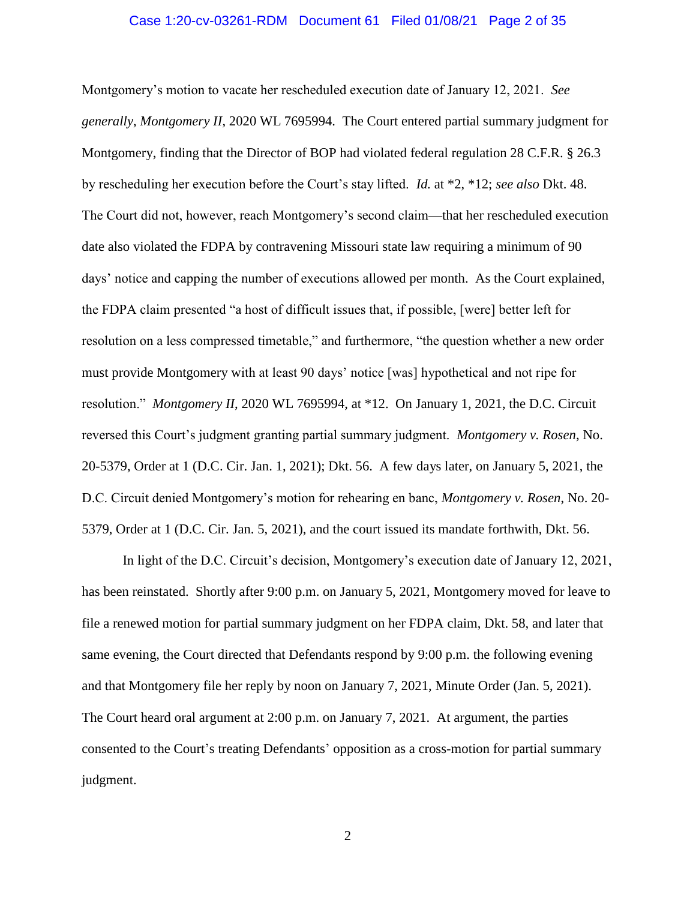### Case 1:20-cv-03261-RDM Document 61 Filed 01/08/21 Page 2 of 35

Montgomery's motion to vacate her rescheduled execution date of January 12, 2021. *See generally*, *Montgomery II*, 2020 WL 7695994. The Court entered partial summary judgment for Montgomery, finding that the Director of BOP had violated federal regulation 28 C.F.R. § 26.3 by rescheduling her execution before the Court's stay lifted. *Id.* at \*2, \*12; *see also* Dkt. 48. The Court did not, however, reach Montgomery's second claim—that her rescheduled execution date also violated the FDPA by contravening Missouri state law requiring a minimum of 90 days' notice and capping the number of executions allowed per month. As the Court explained, the FDPA claim presented "a host of difficult issues that, if possible, [were] better left for resolution on a less compressed timetable," and furthermore, "the question whether a new order must provide Montgomery with at least 90 days' notice [was] hypothetical and not ripe for resolution." *Montgomery II*, 2020 WL 7695994, at \*12. On January 1, 2021, the D.C. Circuit reversed this Court's judgment granting partial summary judgment. *Montgomery v. Rosen*, No. 20-5379, Order at 1 (D.C. Cir. Jan. 1, 2021); Dkt. 56. A few days later, on January 5, 2021, the D.C. Circuit denied Montgomery's motion for rehearing en banc, *Montgomery v. Rosen*, No. 20- 5379, Order at 1 (D.C. Cir. Jan. 5, 2021), and the court issued its mandate forthwith, Dkt. 56.

In light of the D.C. Circuit's decision, Montgomery's execution date of January 12, 2021, has been reinstated. Shortly after 9:00 p.m. on January 5, 2021, Montgomery moved for leave to file a renewed motion for partial summary judgment on her FDPA claim, Dkt. 58, and later that same evening, the Court directed that Defendants respond by 9:00 p.m. the following evening and that Montgomery file her reply by noon on January 7, 2021, Minute Order (Jan. 5, 2021). The Court heard oral argument at 2:00 p.m. on January 7, 2021. At argument, the parties consented to the Court's treating Defendants' opposition as a cross-motion for partial summary judgment.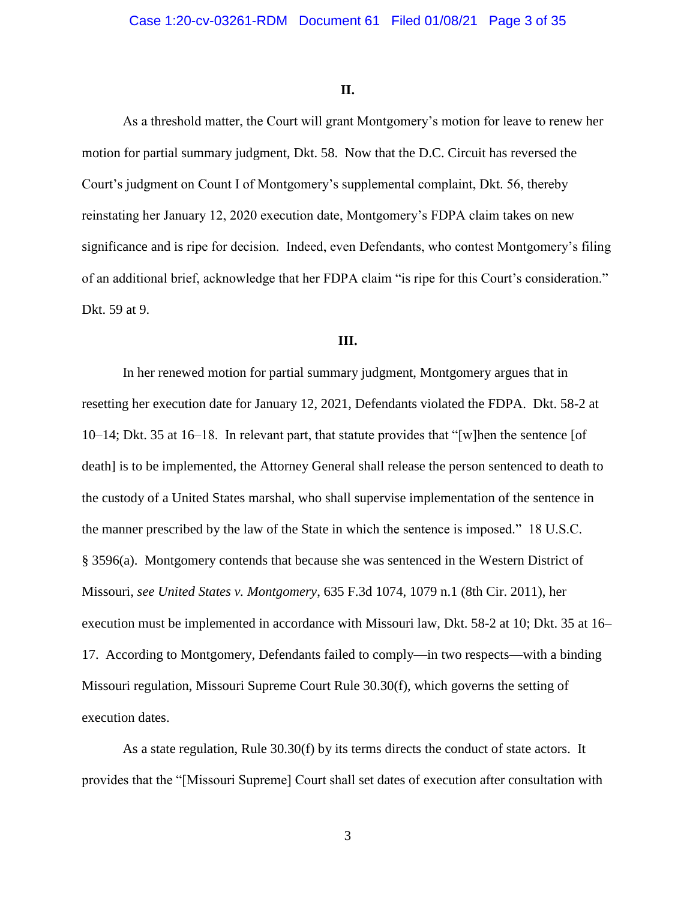#### **II.**

As a threshold matter, the Court will grant Montgomery's motion for leave to renew her motion for partial summary judgment, Dkt. 58. Now that the D.C. Circuit has reversed the Court's judgment on Count I of Montgomery's supplemental complaint, Dkt. 56, thereby reinstating her January 12, 2020 execution date, Montgomery's FDPA claim takes on new significance and is ripe for decision. Indeed, even Defendants, who contest Montgomery's filing of an additional brief, acknowledge that her FDPA claim "is ripe for this Court's consideration." Dkt. 59 at 9.

### **III.**

In her renewed motion for partial summary judgment, Montgomery argues that in resetting her execution date for January 12, 2021, Defendants violated the FDPA. Dkt. 58-2 at 10–14; Dkt. 35 at 16–18. In relevant part, that statute provides that "[w]hen the sentence [of death] is to be implemented, the Attorney General shall release the person sentenced to death to the custody of a United States marshal, who shall supervise implementation of the sentence in the manner prescribed by the law of the State in which the sentence is imposed." 18 U.S.C. § 3596(a). Montgomery contends that because she was sentenced in the Western District of Missouri, *see United States v. Montgomery*, 635 F.3d 1074, 1079 n.1 (8th Cir. 2011), her execution must be implemented in accordance with Missouri law, Dkt. 58-2 at 10; Dkt. 35 at 16– 17. According to Montgomery, Defendants failed to comply—in two respects—with a binding Missouri regulation, Missouri Supreme Court Rule 30.30(f), which governs the setting of execution dates.

As a state regulation, Rule 30.30(f) by its terms directs the conduct of state actors. It provides that the "[Missouri Supreme] Court shall set dates of execution after consultation with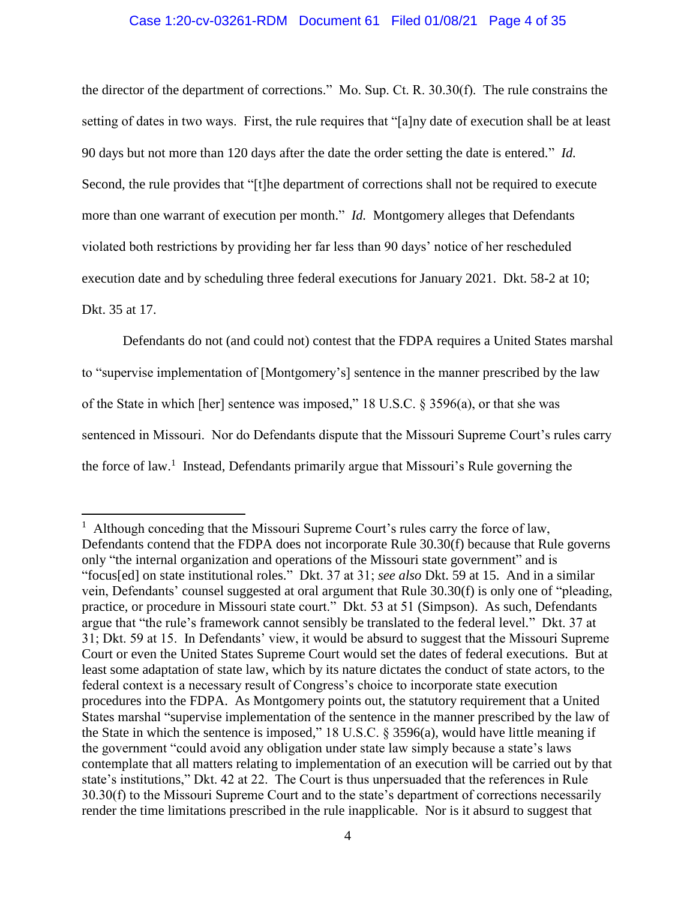### Case 1:20-cv-03261-RDM Document 61 Filed 01/08/21 Page 4 of 35

the director of the department of corrections." Mo. Sup. Ct. R. 30.30(f). The rule constrains the setting of dates in two ways. First, the rule requires that "[a]ny date of execution shall be at least 90 days but not more than 120 days after the date the order setting the date is entered." *Id.* Second, the rule provides that "[t]he department of corrections shall not be required to execute more than one warrant of execution per month." *Id.* Montgomery alleges that Defendants violated both restrictions by providing her far less than 90 days' notice of her rescheduled execution date and by scheduling three federal executions for January 2021. Dkt. 58-2 at 10; Dkt. 35 at 17.

Defendants do not (and could not) contest that the FDPA requires a United States marshal to "supervise implementation of [Montgomery's] sentence in the manner prescribed by the law of the State in which [her] sentence was imposed," 18 U.S.C. § 3596(a), or that she was sentenced in Missouri. Nor do Defendants dispute that the Missouri Supreme Court's rules carry the force of law.<sup>1</sup> Instead, Defendants primarily argue that Missouri's Rule governing the

l

<sup>&</sup>lt;sup>1</sup> Although conceding that the Missouri Supreme Court's rules carry the force of law, Defendants contend that the FDPA does not incorporate Rule 30.30(f) because that Rule governs only "the internal organization and operations of the Missouri state government" and is "focus[ed] on state institutional roles." Dkt. 37 at 31; *see also* Dkt. 59 at 15. And in a similar vein, Defendants' counsel suggested at oral argument that Rule 30.30(f) is only one of "pleading, practice, or procedure in Missouri state court." Dkt. 53 at 51 (Simpson). As such, Defendants argue that "the rule's framework cannot sensibly be translated to the federal level." Dkt. 37 at 31; Dkt. 59 at 15. In Defendants' view, it would be absurd to suggest that the Missouri Supreme Court or even the United States Supreme Court would set the dates of federal executions. But at least some adaptation of state law, which by its nature dictates the conduct of state actors, to the federal context is a necessary result of Congress's choice to incorporate state execution procedures into the FDPA. As Montgomery points out, the statutory requirement that a United States marshal "supervise implementation of the sentence in the manner prescribed by the law of the State in which the sentence is imposed," 18 U.S.C.  $\S$  3596(a), would have little meaning if the government "could avoid any obligation under state law simply because a state's laws contemplate that all matters relating to implementation of an execution will be carried out by that state's institutions," Dkt. 42 at 22. The Court is thus unpersuaded that the references in Rule 30.30(f) to the Missouri Supreme Court and to the state's department of corrections necessarily render the time limitations prescribed in the rule inapplicable. Nor is it absurd to suggest that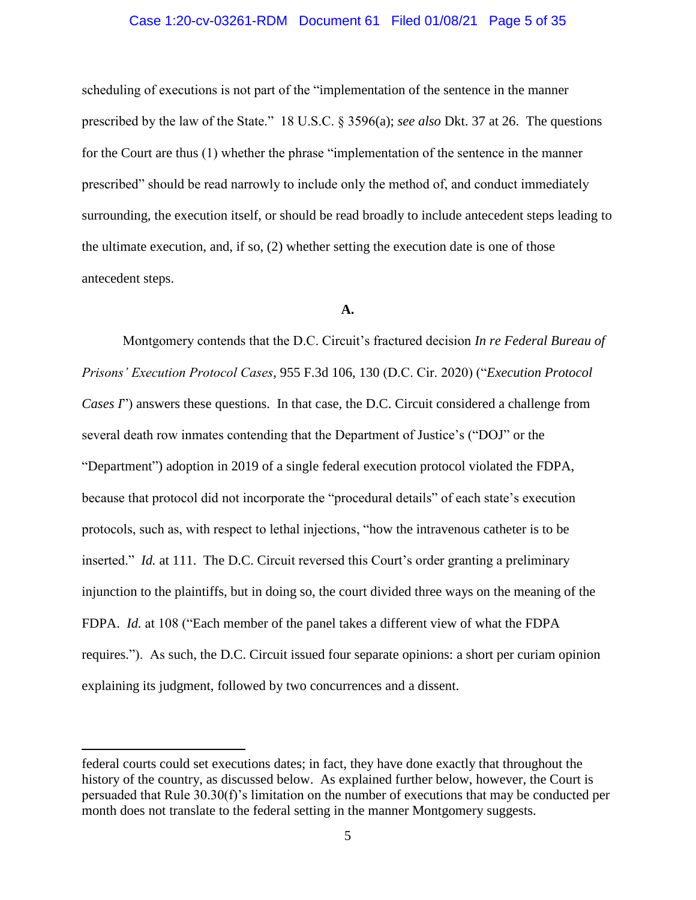### Case 1:20-cv-03261-RDM Document 61 Filed 01/08/21 Page 5 of 35

scheduling of executions is not part of the "implementation of the sentence in the manner prescribed by the law of the State." 18 U.S.C. § 3596(a); *see also* Dkt. 37 at 26. The questions for the Court are thus (1) whether the phrase "implementation of the sentence in the manner prescribed" should be read narrowly to include only the method of, and conduct immediately surrounding, the execution itself, or should be read broadly to include antecedent steps leading to the ultimate execution, and, if so, (2) whether setting the execution date is one of those antecedent steps.

## **A.**

Montgomery contends that the D.C. Circuit's fractured decision *In re Federal Bureau of Prisons' Execution Protocol Cases*, 955 F.3d 106, 130 (D.C. Cir. 2020) ("*Execution Protocol Cases I*") answers these questions. In that case, the D.C. Circuit considered a challenge from several death row inmates contending that the Department of Justice's ("DOJ" or the "Department") adoption in 2019 of a single federal execution protocol violated the FDPA, because that protocol did not incorporate the "procedural details" of each state's execution protocols, such as, with respect to lethal injections, "how the intravenous catheter is to be inserted." *Id.* at 111. The D.C. Circuit reversed this Court's order granting a preliminary injunction to the plaintiffs, but in doing so, the court divided three ways on the meaning of the FDPA. *Id.* at 108 ("Each member of the panel takes a different view of what the FDPA requires."). As such, the D.C. Circuit issued four separate opinions: a short per curiam opinion explaining its judgment, followed by two concurrences and a dissent.

l

federal courts could set executions dates; in fact, they have done exactly that throughout the history of the country, as discussed below. As explained further below, however, the Court is persuaded that Rule 30.30(f)'s limitation on the number of executions that may be conducted per month does not translate to the federal setting in the manner Montgomery suggests.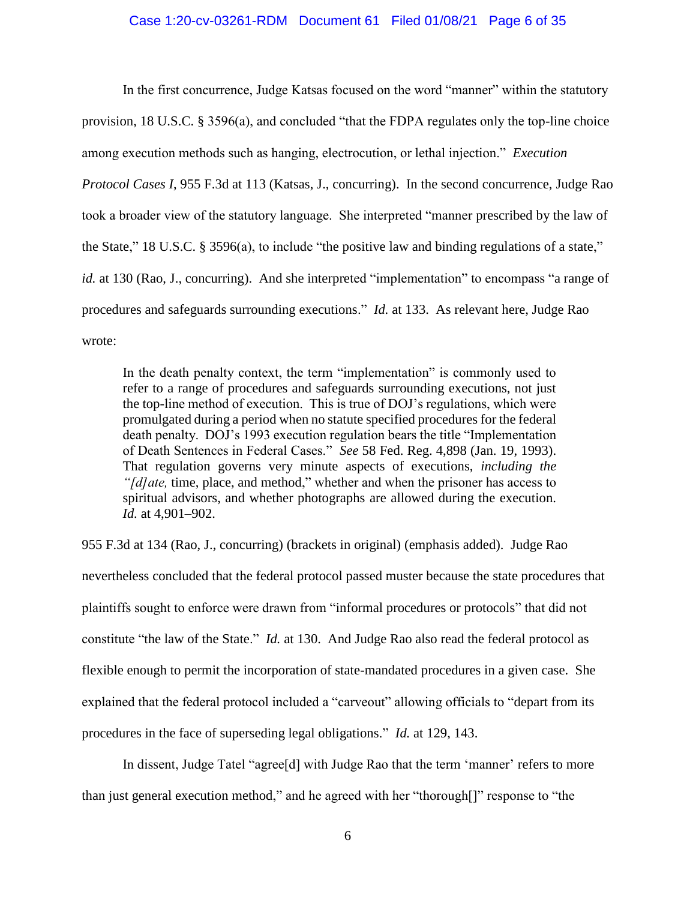### Case 1:20-cv-03261-RDM Document 61 Filed 01/08/21 Page 6 of 35

In the first concurrence, Judge Katsas focused on the word "manner" within the statutory provision, 18 U.S.C. § 3596(a), and concluded "that the FDPA regulates only the top-line choice among execution methods such as hanging, electrocution, or lethal injection." *Execution Protocol Cases I*, 955 F.3d at 113 (Katsas, J., concurring). In the second concurrence, Judge Rao took a broader view of the statutory language. She interpreted "manner prescribed by the law of the State," 18 U.S.C. § 3596(a), to include "the positive law and binding regulations of a state," *id.* at 130 (Rao, J., concurring). And she interpreted "implementation" to encompass "a range of procedures and safeguards surrounding executions." *Id.* at 133. As relevant here, Judge Rao wrote:

In the death penalty context, the term "implementation" is commonly used to refer to a range of procedures and safeguards surrounding executions, not just the top-line method of execution. This is true of DOJ's regulations, which were promulgated during a period when no statute specified procedures for the federal death penalty. DOJ's 1993 execution regulation bears the title "Implementation of Death Sentences in Federal Cases." *See* 58 Fed. Reg. 4,898 (Jan. 19, 1993). That regulation governs very minute aspects of executions, *including the "[d]ate,* time, place, and method," whether and when the prisoner has access to spiritual advisors, and whether photographs are allowed during the execution. *Id.* at 4,901–902.

955 F.3d at 134 (Rao, J., concurring) (brackets in original) (emphasis added). Judge Rao nevertheless concluded that the federal protocol passed muster because the state procedures that plaintiffs sought to enforce were drawn from "informal procedures or protocols" that did not constitute "the law of the State." *Id.* at 130. And Judge Rao also read the federal protocol as flexible enough to permit the incorporation of state-mandated procedures in a given case. She explained that the federal protocol included a "carveout" allowing officials to "depart from its procedures in the face of superseding legal obligations." *Id.* at 129, 143.

In dissent, Judge Tatel "agree[d] with Judge Rao that the term 'manner' refers to more than just general execution method," and he agreed with her "thorough[]" response to "the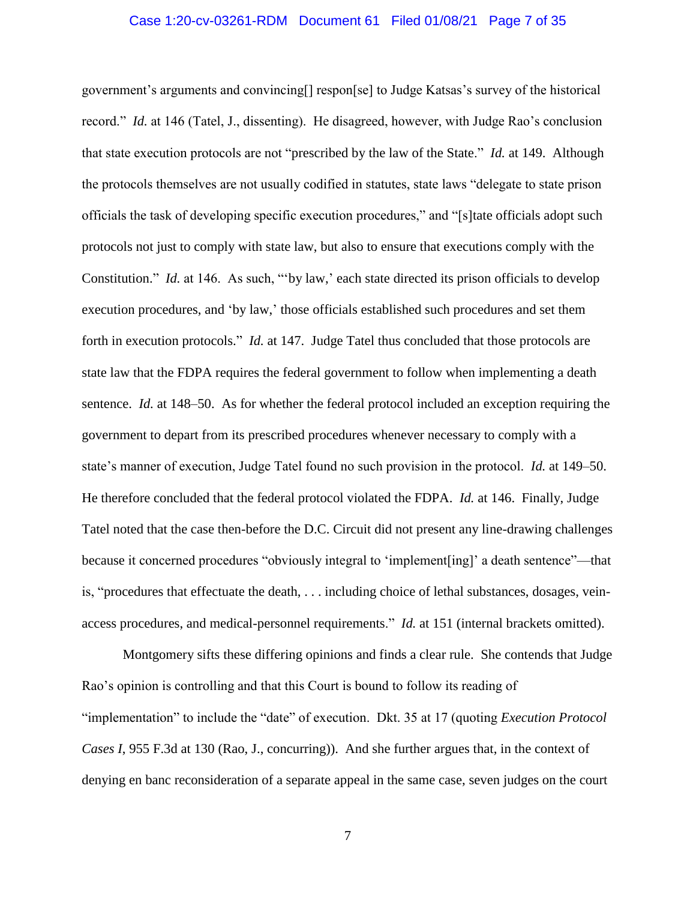### Case 1:20-cv-03261-RDM Document 61 Filed 01/08/21 Page 7 of 35

government's arguments and convincing[] respon[se] to Judge Katsas's survey of the historical record." *Id.* at 146 (Tatel, J., dissenting). He disagreed, however, with Judge Rao's conclusion that state execution protocols are not "prescribed by the law of the State." *Id.* at 149. Although the protocols themselves are not usually codified in statutes, state laws "delegate to state prison officials the task of developing specific execution procedures," and "[s]tate officials adopt such protocols not just to comply with state law, but also to ensure that executions comply with the Constitution." *Id.* at 146. As such, "'by law,' each state directed its prison officials to develop execution procedures, and 'by law,' those officials established such procedures and set them forth in execution protocols." *Id.* at 147. Judge Tatel thus concluded that those protocols are state law that the FDPA requires the federal government to follow when implementing a death sentence. *Id.* at 148–50. As for whether the federal protocol included an exception requiring the government to depart from its prescribed procedures whenever necessary to comply with a state's manner of execution, Judge Tatel found no such provision in the protocol. *Id.* at 149–50. He therefore concluded that the federal protocol violated the FDPA. *Id.* at 146. Finally, Judge Tatel noted that the case then-before the D.C. Circuit did not present any line-drawing challenges because it concerned procedures "obviously integral to 'implement[ing]' a death sentence"—that is, "procedures that effectuate the death, . . . including choice of lethal substances, dosages, veinaccess procedures, and medical-personnel requirements." *Id.* at 151 (internal brackets omitted).

Montgomery sifts these differing opinions and finds a clear rule. She contends that Judge Rao's opinion is controlling and that this Court is bound to follow its reading of "implementation" to include the "date" of execution. Dkt. 35 at 17 (quoting *Execution Protocol Cases I*, 955 F.3d at 130 (Rao, J., concurring)). And she further argues that, in the context of denying en banc reconsideration of a separate appeal in the same case, seven judges on the court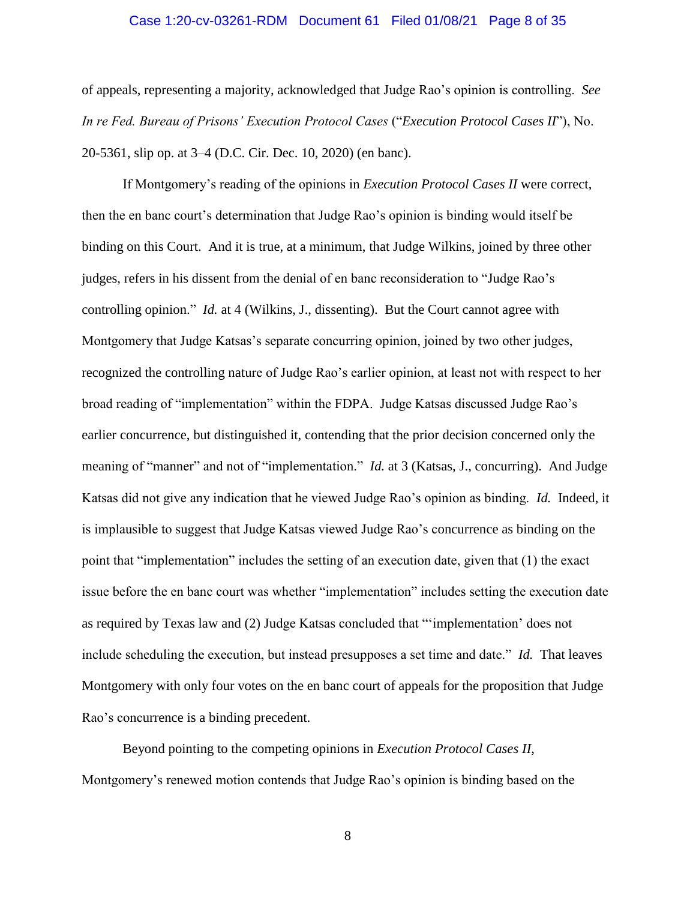### Case 1:20-cv-03261-RDM Document 61 Filed 01/08/21 Page 8 of 35

of appeals, representing a majority, acknowledged that Judge Rao's opinion is controlling. *See In re Fed. Bureau of Prisons' Execution Protocol Cases* ("*Execution Protocol Cases II*"), No. 20-5361, slip op. at 3–4 (D.C. Cir. Dec. 10, 2020) (en banc).

If Montgomery's reading of the opinions in *Execution Protocol Cases II* were correct, then the en banc court's determination that Judge Rao's opinion is binding would itself be binding on this Court. And it is true, at a minimum, that Judge Wilkins, joined by three other judges, refers in his dissent from the denial of en banc reconsideration to "Judge Rao's controlling opinion." *Id.* at 4 (Wilkins, J., dissenting). But the Court cannot agree with Montgomery that Judge Katsas's separate concurring opinion, joined by two other judges, recognized the controlling nature of Judge Rao's earlier opinion, at least not with respect to her broad reading of "implementation" within the FDPA. Judge Katsas discussed Judge Rao's earlier concurrence, but distinguished it, contending that the prior decision concerned only the meaning of "manner" and not of "implementation." *Id.* at 3 (Katsas, J., concurring). And Judge Katsas did not give any indication that he viewed Judge Rao's opinion as binding. *Id.* Indeed, it is implausible to suggest that Judge Katsas viewed Judge Rao's concurrence as binding on the point that "implementation" includes the setting of an execution date, given that (1) the exact issue before the en banc court was whether "implementation" includes setting the execution date as required by Texas law and (2) Judge Katsas concluded that "'implementation' does not include scheduling the execution, but instead presupposes a set time and date." *Id.* That leaves Montgomery with only four votes on the en banc court of appeals for the proposition that Judge Rao's concurrence is a binding precedent.

Beyond pointing to the competing opinions in *Execution Protocol Cases II*, Montgomery's renewed motion contends that Judge Rao's opinion is binding based on the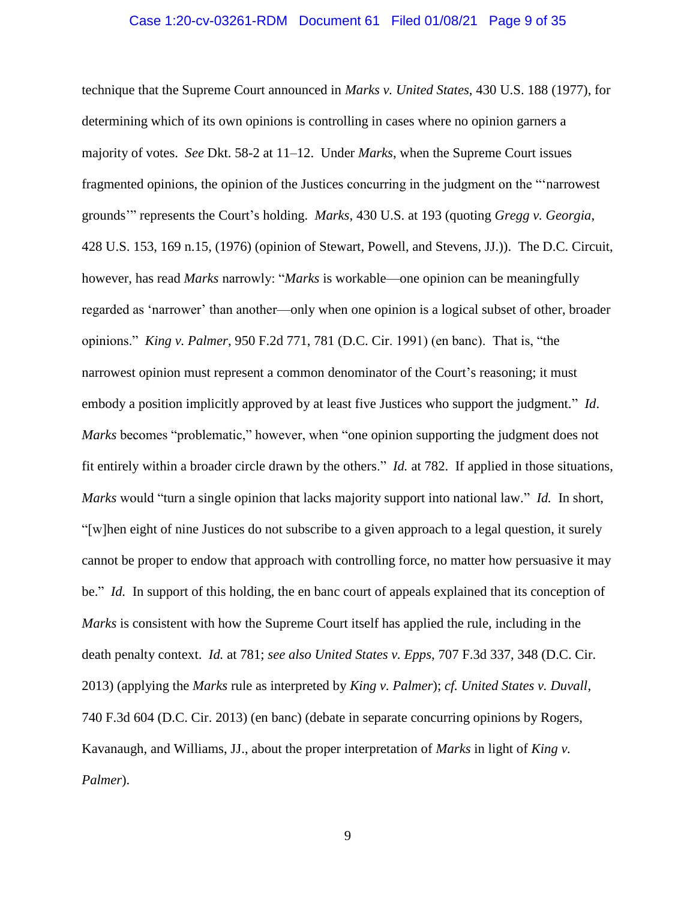#### Case 1:20-cv-03261-RDM Document 61 Filed 01/08/21 Page 9 of 35

technique that the Supreme Court announced in *Marks v. United States*, 430 U.S. 188 (1977), for determining which of its own opinions is controlling in cases where no opinion garners a majority of votes. *See* Dkt. 58-2 at 11–12. Under *Marks*, when the Supreme Court issues fragmented opinions, the opinion of the Justices concurring in the judgment on the "'narrowest grounds'" represents the Court's holding. *Marks*, 430 U.S. at 193 (quoting *Gregg v. Georgia*, 428 U.S. 153, 169 n.15, (1976) (opinion of Stewart, Powell, and Stevens, JJ.)). The D.C. Circuit, however, has read *Marks* narrowly: "*Marks* is workable—one opinion can be meaningfully regarded as 'narrower' than another—only when one opinion is a logical subset of other, broader opinions." *King v. Palmer*, 950 F.2d 771, 781 (D.C. Cir. 1991) (en banc). That is, "the narrowest opinion must represent a common denominator of the Court's reasoning; it must embody a position implicitly approved by at least five Justices who support the judgment." *Id*. *Marks* becomes "problematic," however, when "one opinion supporting the judgment does not fit entirely within a broader circle drawn by the others." *Id.* at 782. If applied in those situations, *Marks* would "turn a single opinion that lacks majority support into national law." *Id.* In short, "[w]hen eight of nine Justices do not subscribe to a given approach to a legal question, it surely cannot be proper to endow that approach with controlling force, no matter how persuasive it may be." *Id.* In support of this holding, the en banc court of appeals explained that its conception of *Marks* is consistent with how the Supreme Court itself has applied the rule, including in the death penalty context. *Id.* at 781; *see also United States v. Epps*, 707 F.3d 337, 348 (D.C. Cir. 2013) (applying the *Marks* rule as interpreted by *King v. Palmer*); *cf. United States v. Duvall*, 740 F.3d 604 (D.C. Cir. 2013) (en banc) (debate in separate concurring opinions by Rogers, Kavanaugh, and Williams, JJ., about the proper interpretation of *Marks* in light of *King v. Palmer*).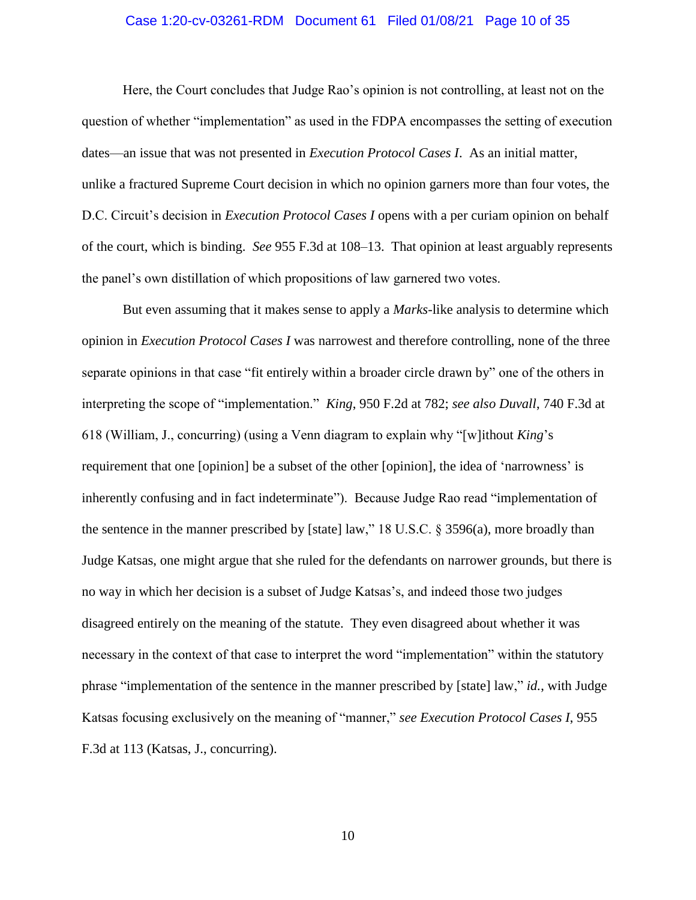### Case 1:20-cv-03261-RDM Document 61 Filed 01/08/21 Page 10 of 35

Here, the Court concludes that Judge Rao's opinion is not controlling, at least not on the question of whether "implementation" as used in the FDPA encompasses the setting of execution dates—an issue that was not presented in *Execution Protocol Cases I*. As an initial matter, unlike a fractured Supreme Court decision in which no opinion garners more than four votes, the D.C. Circuit's decision in *Execution Protocol Cases I* opens with a per curiam opinion on behalf of the court, which is binding. *See* 955 F.3d at 108–13. That opinion at least arguably represents the panel's own distillation of which propositions of law garnered two votes.

But even assuming that it makes sense to apply a *Marks*-like analysis to determine which opinion in *Execution Protocol Cases I* was narrowest and therefore controlling, none of the three separate opinions in that case "fit entirely within a broader circle drawn by" one of the others in interpreting the scope of "implementation." *King*, 950 F.2d at 782; *see also Duvall*, 740 F.3d at 618 (William, J., concurring) (using a Venn diagram to explain why "[w]ithout *King*'s requirement that one [opinion] be a subset of the other [opinion], the idea of 'narrowness' is inherently confusing and in fact indeterminate"). Because Judge Rao read "implementation of the sentence in the manner prescribed by [state] law," 18 U.S.C. § 3596(a), more broadly than Judge Katsas, one might argue that she ruled for the defendants on narrower grounds, but there is no way in which her decision is a subset of Judge Katsas's, and indeed those two judges disagreed entirely on the meaning of the statute. They even disagreed about whether it was necessary in the context of that case to interpret the word "implementation" within the statutory phrase "implementation of the sentence in the manner prescribed by [state] law," *id.*, with Judge Katsas focusing exclusively on the meaning of "manner," *see Execution Protocol Cases I*, 955 F.3d at 113 (Katsas, J., concurring).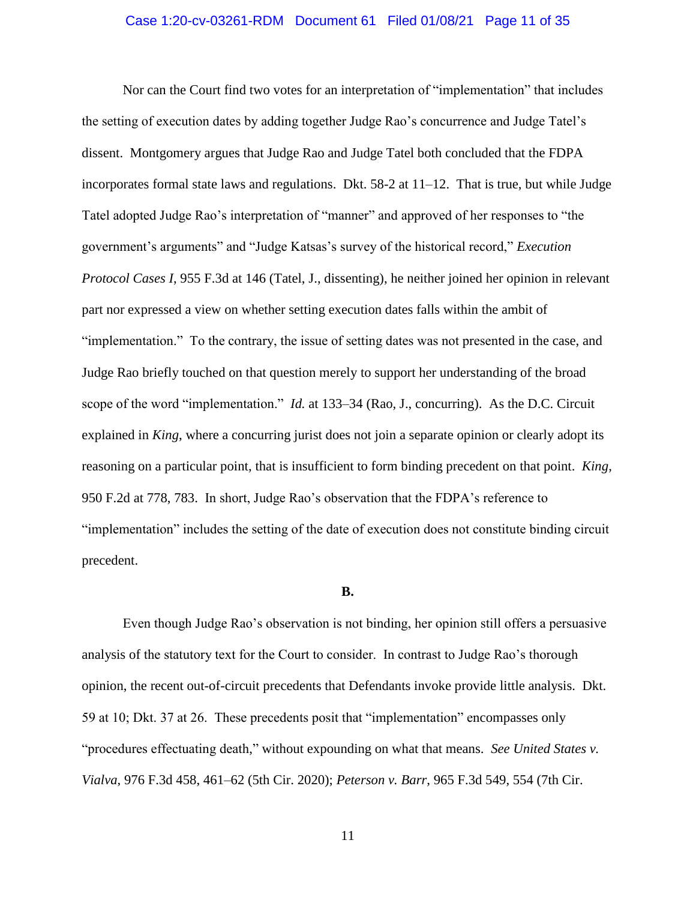### Case 1:20-cv-03261-RDM Document 61 Filed 01/08/21 Page 11 of 35

Nor can the Court find two votes for an interpretation of "implementation" that includes the setting of execution dates by adding together Judge Rao's concurrence and Judge Tatel's dissent. Montgomery argues that Judge Rao and Judge Tatel both concluded that the FDPA incorporates formal state laws and regulations. Dkt. 58-2 at 11–12. That is true, but while Judge Tatel adopted Judge Rao's interpretation of "manner" and approved of her responses to "the government's arguments" and "Judge Katsas's survey of the historical record," *Execution Protocol Cases I*, 955 F.3d at 146 (Tatel, J., dissenting), he neither joined her opinion in relevant part nor expressed a view on whether setting execution dates falls within the ambit of "implementation." To the contrary, the issue of setting dates was not presented in the case, and Judge Rao briefly touched on that question merely to support her understanding of the broad scope of the word "implementation." *Id.* at 133–34 (Rao, J., concurring). As the D.C. Circuit explained in *King*, where a concurring jurist does not join a separate opinion or clearly adopt its reasoning on a particular point, that is insufficient to form binding precedent on that point. *King*, 950 F.2d at 778, 783. In short, Judge Rao's observation that the FDPA's reference to "implementation" includes the setting of the date of execution does not constitute binding circuit precedent.

#### **B.**

Even though Judge Rao's observation is not binding, her opinion still offers a persuasive analysis of the statutory text for the Court to consider. In contrast to Judge Rao's thorough opinion, the recent out-of-circuit precedents that Defendants invoke provide little analysis. Dkt. 59 at 10; Dkt. 37 at 26. These precedents posit that "implementation" encompasses only "procedures effectuating death," without expounding on what that means. *See United States v. Vialva*, 976 F.3d 458, 461–62 (5th Cir. 2020); *Peterson v. Barr*, 965 F.3d 549, 554 (7th Cir.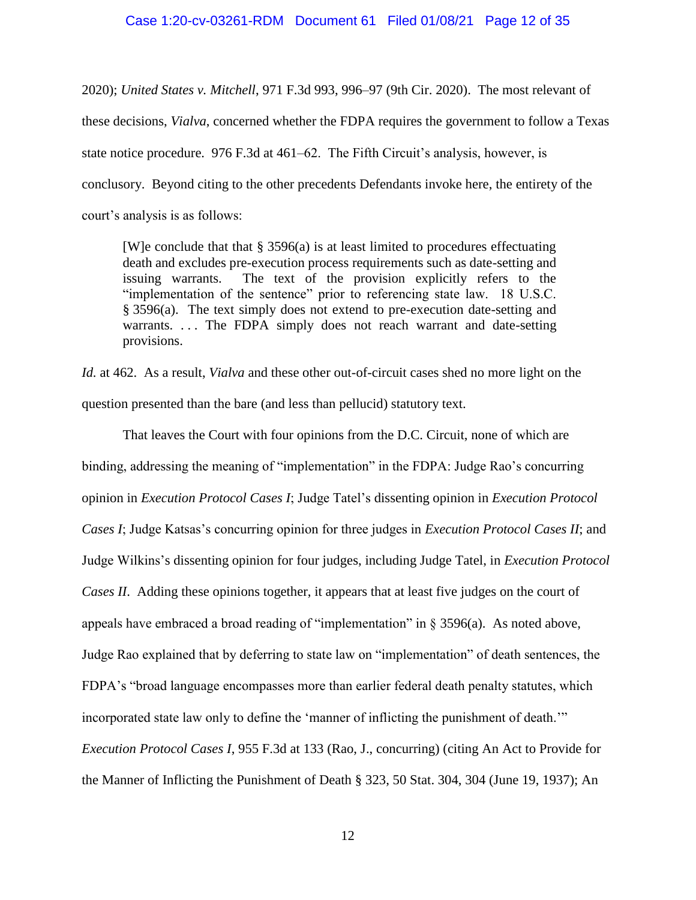### Case 1:20-cv-03261-RDM Document 61 Filed 01/08/21 Page 12 of 35

2020); *United States v. Mitchell*, 971 F.3d 993, 996–97 (9th Cir. 2020). The most relevant of these decisions, *Vialva*, concerned whether the FDPA requires the government to follow a Texas state notice procedure. 976 F.3d at 461–62. The Fifth Circuit's analysis, however, is conclusory. Beyond citing to the other precedents Defendants invoke here, the entirety of the court's analysis is as follows:

[W]e conclude that that  $\S 3596(a)$  is at least limited to procedures effectuating death and excludes pre-execution process requirements such as date-setting and issuing warrants. The text of the provision explicitly refers to the "implementation of the sentence" prior to referencing state law. 18 U.S.C. § 3596(a). The text simply does not extend to pre-execution date-setting and warrants. ... The FDPA simply does not reach warrant and date-setting provisions.

*Id.* at 462. As a result, *Vialva* and these other out-of-circuit cases shed no more light on the question presented than the bare (and less than pellucid) statutory text.

That leaves the Court with four opinions from the D.C. Circuit, none of which are binding, addressing the meaning of "implementation" in the FDPA: Judge Rao's concurring opinion in *Execution Protocol Cases I*; Judge Tatel's dissenting opinion in *Execution Protocol Cases I*; Judge Katsas's concurring opinion for three judges in *Execution Protocol Cases II*; and Judge Wilkins's dissenting opinion for four judges, including Judge Tatel, in *Execution Protocol Cases II*. Adding these opinions together, it appears that at least five judges on the court of appeals have embraced a broad reading of "implementation" in § 3596(a). As noted above, Judge Rao explained that by deferring to state law on "implementation" of death sentences, the FDPA's "broad language encompasses more than earlier federal death penalty statutes, which incorporated state law only to define the 'manner of inflicting the punishment of death.'" *Execution Protocol Cases I*, 955 F.3d at 133 (Rao, J., concurring) (citing An Act to Provide for the Manner of Inflicting the Punishment of Death § 323, 50 Stat. 304, 304 (June 19, 1937); An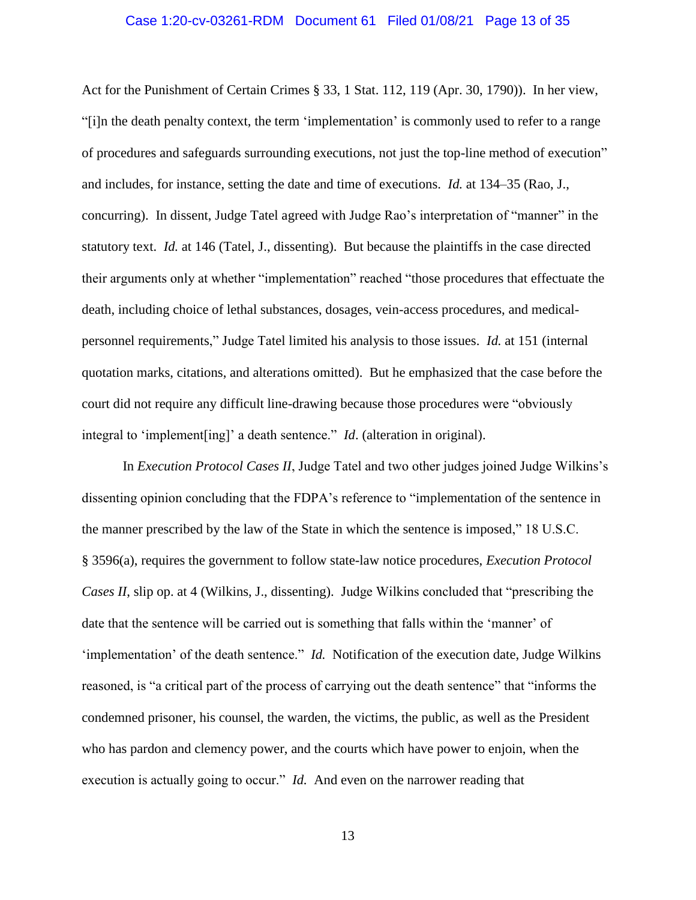### Case 1:20-cv-03261-RDM Document 61 Filed 01/08/21 Page 13 of 35

Act for the Punishment of Certain Crimes § 33, 1 Stat. 112, 119 (Apr. 30, 1790)). In her view, "[i]n the death penalty context, the term 'implementation' is commonly used to refer to a range of procedures and safeguards surrounding executions, not just the top-line method of execution" and includes, for instance, setting the date and time of executions. *Id.* at 134–35 (Rao, J., concurring). In dissent, Judge Tatel agreed with Judge Rao's interpretation of "manner" in the statutory text. *Id.* at 146 (Tatel, J., dissenting). But because the plaintiffs in the case directed their arguments only at whether "implementation" reached "those procedures that effectuate the death, including choice of lethal substances, dosages, vein-access procedures, and medicalpersonnel requirements," Judge Tatel limited his analysis to those issues. *Id.* at 151 (internal quotation marks, citations, and alterations omitted). But he emphasized that the case before the court did not require any difficult line-drawing because those procedures were "obviously integral to 'implement[ing]' a death sentence." *Id*. (alteration in original).

In *Execution Protocol Cases II*, Judge Tatel and two other judges joined Judge Wilkins's dissenting opinion concluding that the FDPA's reference to "implementation of the sentence in the manner prescribed by the law of the State in which the sentence is imposed," 18 U.S.C. § 3596(a), requires the government to follow state-law notice procedures, *Execution Protocol Cases II*, slip op. at 4 (Wilkins, J., dissenting). Judge Wilkins concluded that "prescribing the date that the sentence will be carried out is something that falls within the 'manner' of 'implementation' of the death sentence." *Id.* Notification of the execution date, Judge Wilkins reasoned, is "a critical part of the process of carrying out the death sentence" that "informs the condemned prisoner, his counsel, the warden, the victims, the public, as well as the President who has pardon and clemency power, and the courts which have power to enjoin, when the execution is actually going to occur." *Id.* And even on the narrower reading that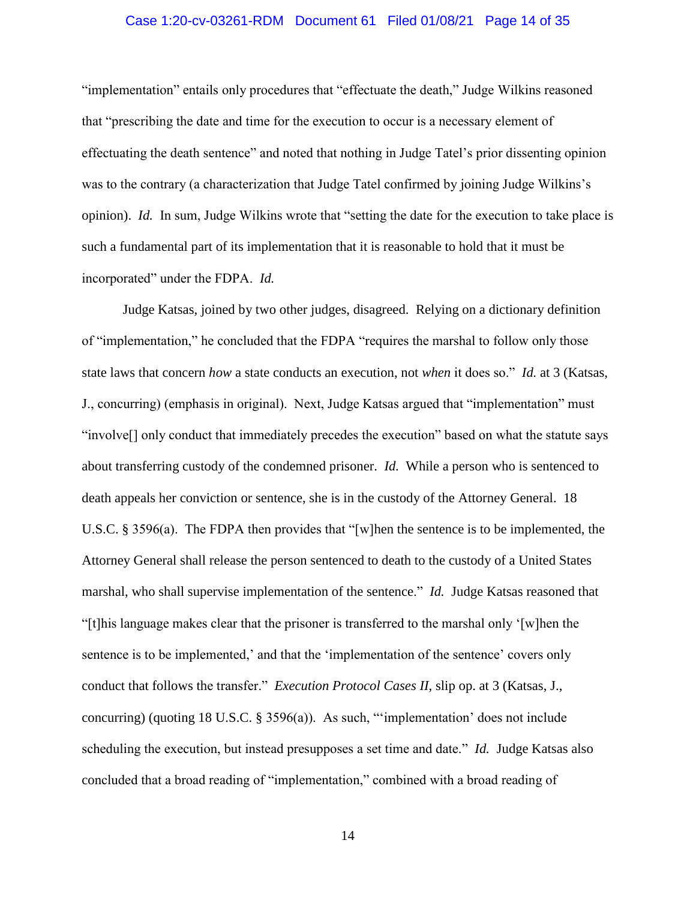### Case 1:20-cv-03261-RDM Document 61 Filed 01/08/21 Page 14 of 35

"implementation" entails only procedures that "effectuate the death," Judge Wilkins reasoned that "prescribing the date and time for the execution to occur is a necessary element of effectuating the death sentence" and noted that nothing in Judge Tatel's prior dissenting opinion was to the contrary (a characterization that Judge Tatel confirmed by joining Judge Wilkins's opinion). *Id.* In sum, Judge Wilkins wrote that "setting the date for the execution to take place is such a fundamental part of its implementation that it is reasonable to hold that it must be incorporated" under the FDPA. *Id.*

Judge Katsas, joined by two other judges, disagreed. Relying on a dictionary definition of "implementation," he concluded that the FDPA "requires the marshal to follow only those state laws that concern *how* a state conducts an execution, not *when* it does so." *Id.* at 3 (Katsas, J., concurring) (emphasis in original). Next, Judge Katsas argued that "implementation" must "involve[] only conduct that immediately precedes the execution" based on what the statute says about transferring custody of the condemned prisoner. *Id.* While a person who is sentenced to death appeals her conviction or sentence, she is in the custody of the Attorney General. 18 U.S.C. § 3596(a). The FDPA then provides that "[w]hen the sentence is to be implemented, the Attorney General shall release the person sentenced to death to the custody of a United States marshal, who shall supervise implementation of the sentence." *Id.* Judge Katsas reasoned that "[t]his language makes clear that the prisoner is transferred to the marshal only '[w]hen the sentence is to be implemented,' and that the 'implementation of the sentence' covers only conduct that follows the transfer." *Execution Protocol Cases II*, slip op. at 3 (Katsas, J., concurring) (quoting 18 U.S.C. § 3596(a)). As such, "'implementation' does not include scheduling the execution, but instead presupposes a set time and date." *Id.* Judge Katsas also concluded that a broad reading of "implementation," combined with a broad reading of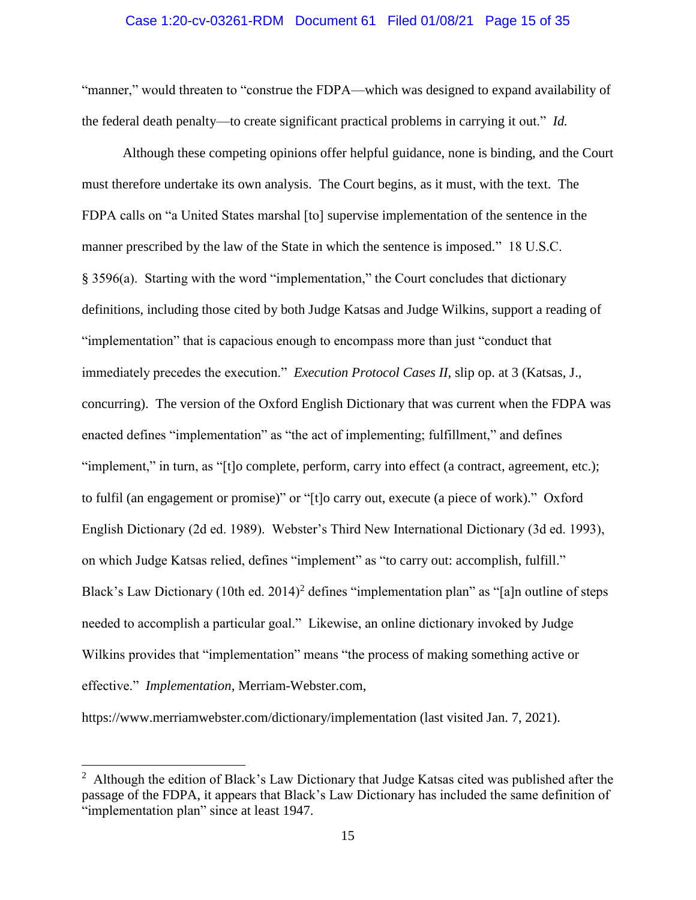### Case 1:20-cv-03261-RDM Document 61 Filed 01/08/21 Page 15 of 35

"manner," would threaten to "construe the FDPA—which was designed to expand availability of the federal death penalty—to create significant practical problems in carrying it out." *Id.*

Although these competing opinions offer helpful guidance, none is binding, and the Court must therefore undertake its own analysis. The Court begins, as it must, with the text. The FDPA calls on "a United States marshal [to] supervise implementation of the sentence in the manner prescribed by the law of the State in which the sentence is imposed." 18 U.S.C. § 3596(a). Starting with the word "implementation," the Court concludes that dictionary definitions, including those cited by both Judge Katsas and Judge Wilkins, support a reading of "implementation" that is capacious enough to encompass more than just "conduct that immediately precedes the execution." *Execution Protocol Cases II*, slip op. at 3 (Katsas, J., concurring). The version of the Oxford English Dictionary that was current when the FDPA was enacted defines "implementation" as "the act of implementing; fulfillment," and defines "implement," in turn, as "[t]o complete, perform, carry into effect (a contract, agreement, etc.); to fulfil (an engagement or promise)" or "[t]o carry out, execute (a piece of work)." Oxford English Dictionary (2d ed. 1989). Webster's Third New International Dictionary (3d ed. 1993), on which Judge Katsas relied, defines "implement" as "to carry out: accomplish, fulfill." Black's Law Dictionary (10th ed. 2014)<sup>2</sup> defines "implementation plan" as "[a]n outline of steps needed to accomplish a particular goal." Likewise, an online dictionary invoked by Judge Wilkins provides that "implementation" means "the process of making something active or effective." *Implementation*, Merriam-Webster.com,

https://www.merriamwebster.com/dictionary/implementation (last visited Jan. 7, 2021).

 $\overline{a}$ 

<sup>&</sup>lt;sup>2</sup> Although the edition of Black's Law Dictionary that Judge Katsas cited was published after the passage of the FDPA, it appears that Black's Law Dictionary has included the same definition of "implementation plan" since at least 1947.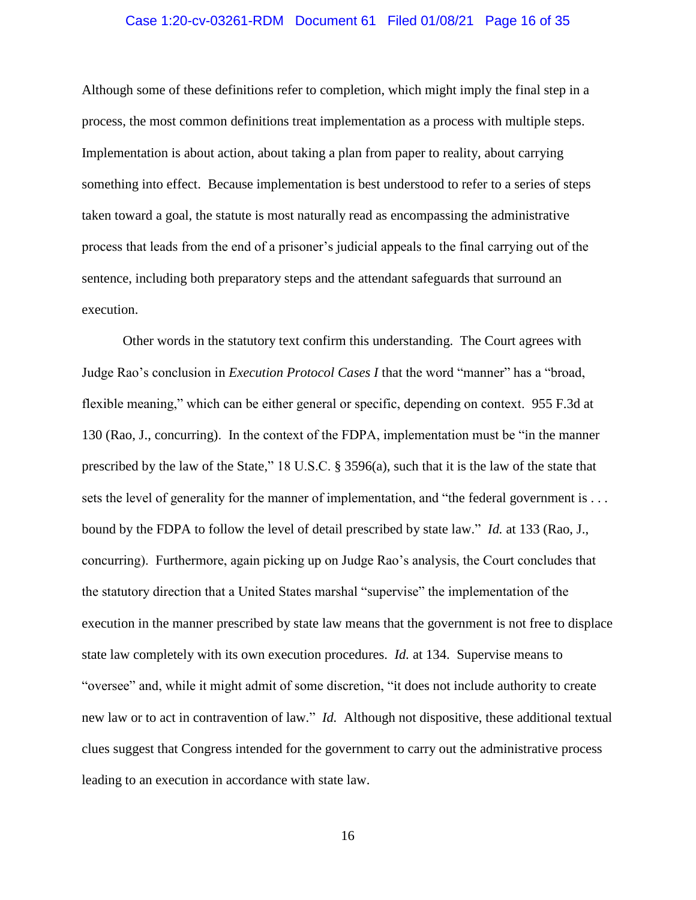### Case 1:20-cv-03261-RDM Document 61 Filed 01/08/21 Page 16 of 35

Although some of these definitions refer to completion, which might imply the final step in a process, the most common definitions treat implementation as a process with multiple steps. Implementation is about action, about taking a plan from paper to reality, about carrying something into effect. Because implementation is best understood to refer to a series of steps taken toward a goal, the statute is most naturally read as encompassing the administrative process that leads from the end of a prisoner's judicial appeals to the final carrying out of the sentence, including both preparatory steps and the attendant safeguards that surround an execution.

Other words in the statutory text confirm this understanding. The Court agrees with Judge Rao's conclusion in *Execution Protocol Cases I* that the word "manner" has a "broad, flexible meaning," which can be either general or specific, depending on context. 955 F.3d at 130 (Rao, J., concurring). In the context of the FDPA, implementation must be "in the manner prescribed by the law of the State," 18 U.S.C. § 3596(a), such that it is the law of the state that sets the level of generality for the manner of implementation, and "the federal government is . . . bound by the FDPA to follow the level of detail prescribed by state law." *Id.* at 133 (Rao, J., concurring). Furthermore, again picking up on Judge Rao's analysis, the Court concludes that the statutory direction that a United States marshal "supervise" the implementation of the execution in the manner prescribed by state law means that the government is not free to displace state law completely with its own execution procedures. *Id.* at 134. Supervise means to "oversee" and, while it might admit of some discretion, "it does not include authority to create new law or to act in contravention of law." *Id.* Although not dispositive, these additional textual clues suggest that Congress intended for the government to carry out the administrative process leading to an execution in accordance with state law.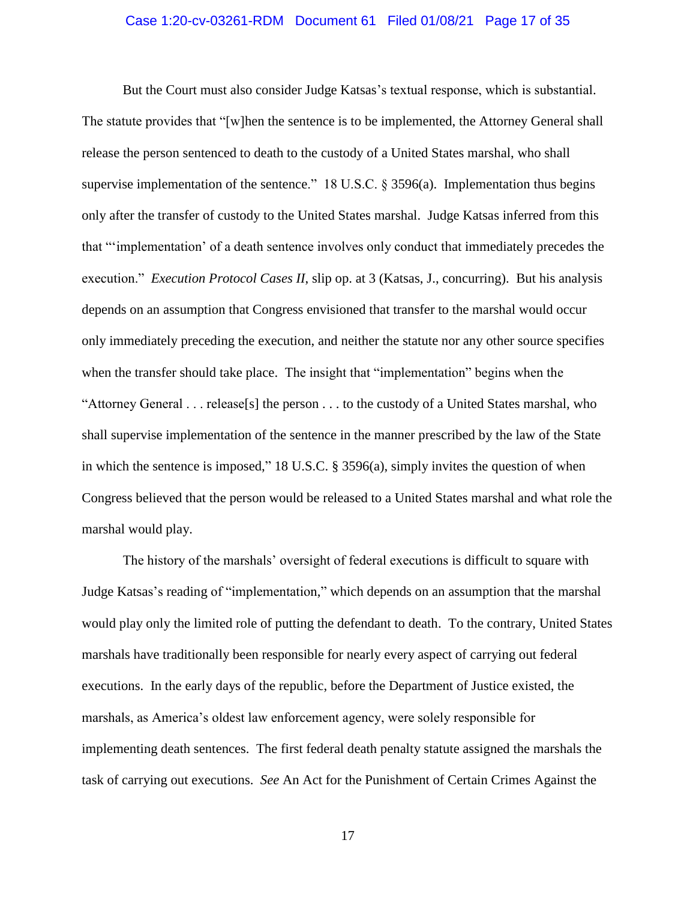### Case 1:20-cv-03261-RDM Document 61 Filed 01/08/21 Page 17 of 35

But the Court must also consider Judge Katsas's textual response, which is substantial. The statute provides that "[w]hen the sentence is to be implemented, the Attorney General shall release the person sentenced to death to the custody of a United States marshal, who shall supervise implementation of the sentence." 18 U.S.C.  $\S$  3596(a). Implementation thus begins only after the transfer of custody to the United States marshal. Judge Katsas inferred from this that "'implementation' of a death sentence involves only conduct that immediately precedes the execution." *Execution Protocol Cases II*, slip op. at 3 (Katsas, J., concurring). But his analysis depends on an assumption that Congress envisioned that transfer to the marshal would occur only immediately preceding the execution, and neither the statute nor any other source specifies when the transfer should take place. The insight that "implementation" begins when the "Attorney General . . . release[s] the person . . . to the custody of a United States marshal, who shall supervise implementation of the sentence in the manner prescribed by the law of the State in which the sentence is imposed," 18 U.S.C. § 3596(a), simply invites the question of when Congress believed that the person would be released to a United States marshal and what role the marshal would play.

The history of the marshals' oversight of federal executions is difficult to square with Judge Katsas's reading of "implementation," which depends on an assumption that the marshal would play only the limited role of putting the defendant to death. To the contrary, United States marshals have traditionally been responsible for nearly every aspect of carrying out federal executions. In the early days of the republic, before the Department of Justice existed, the marshals, as America's oldest law enforcement agency, were solely responsible for implementing death sentences. The first federal death penalty statute assigned the marshals the task of carrying out executions. *See* An Act for the Punishment of Certain Crimes Against the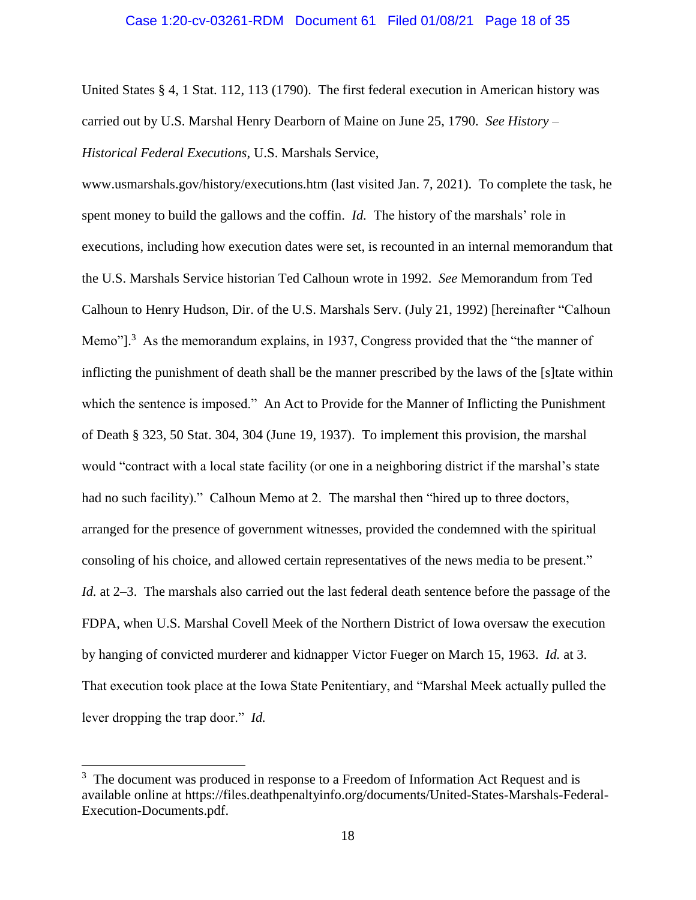#### Case 1:20-cv-03261-RDM Document 61 Filed 01/08/21 Page 18 of 35

United States § 4, 1 Stat. 112, 113 (1790). The first federal execution in American history was carried out by U.S. Marshal Henry Dearborn of Maine on June 25, 1790. *See History – Historical Federal Executions*, U.S. Marshals Service,

www.usmarshals.gov/history/executions.htm (last visited Jan. 7, 2021). To complete the task, he spent money to build the gallows and the coffin. *Id.* The history of the marshals' role in executions, including how execution dates were set, is recounted in an internal memorandum that the U.S. Marshals Service historian Ted Calhoun wrote in 1992. *See* Memorandum from Ted Calhoun to Henry Hudson, Dir. of the U.S. Marshals Serv. (July 21, 1992) [hereinafter "Calhoun Memo"].<sup>3</sup> As the memorandum explains, in 1937, Congress provided that the "the manner of inflicting the punishment of death shall be the manner prescribed by the laws of the [s]tate within which the sentence is imposed." An Act to Provide for the Manner of Inflicting the Punishment of Death § 323, 50 Stat. 304, 304 (June 19, 1937). To implement this provision, the marshal would "contract with a local state facility (or one in a neighboring district if the marshal's state had no such facility)." Calhoun Memo at 2. The marshal then "hired up to three doctors, arranged for the presence of government witnesses, provided the condemned with the spiritual consoling of his choice, and allowed certain representatives of the news media to be present." *Id.* at 2–3. The marshals also carried out the last federal death sentence before the passage of the FDPA, when U.S. Marshal Covell Meek of the Northern District of Iowa oversaw the execution by hanging of convicted murderer and kidnapper Victor Fueger on March 15, 1963. *Id.* at 3. That execution took place at the Iowa State Penitentiary, and "Marshal Meek actually pulled the lever dropping the trap door." *Id.*

 $\overline{a}$ 

 $3\text{ The document was produced in response to a Freedom of Information.}$ available online at https://files.deathpenaltyinfo.org/documents/United-States-Marshals-Federal-Execution-Documents.pdf.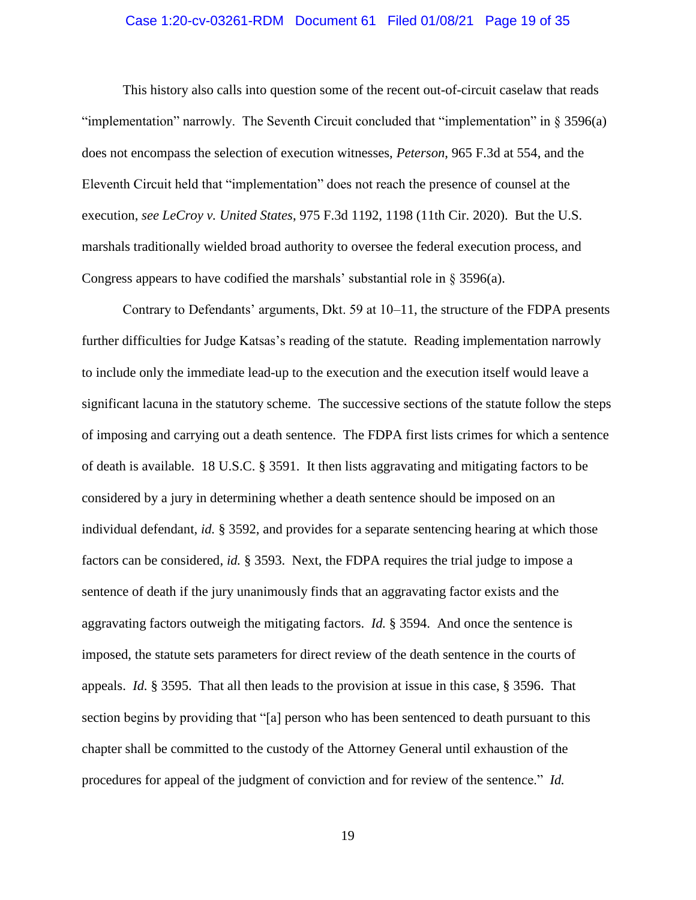### Case 1:20-cv-03261-RDM Document 61 Filed 01/08/21 Page 19 of 35

This history also calls into question some of the recent out-of-circuit caselaw that reads "implementation" narrowly. The Seventh Circuit concluded that "implementation" in § 3596(a) does not encompass the selection of execution witnesses, *Peterson*, 965 F.3d at 554, and the Eleventh Circuit held that "implementation" does not reach the presence of counsel at the execution, *see LeCroy v. United States*, 975 F.3d 1192, 1198 (11th Cir. 2020). But the U.S. marshals traditionally wielded broad authority to oversee the federal execution process, and Congress appears to have codified the marshals' substantial role in § 3596(a).

Contrary to Defendants' arguments, Dkt. 59 at 10–11, the structure of the FDPA presents further difficulties for Judge Katsas's reading of the statute. Reading implementation narrowly to include only the immediate lead-up to the execution and the execution itself would leave a significant lacuna in the statutory scheme. The successive sections of the statute follow the steps of imposing and carrying out a death sentence. The FDPA first lists crimes for which a sentence of death is available. 18 U.S.C. § 3591. It then lists aggravating and mitigating factors to be considered by a jury in determining whether a death sentence should be imposed on an individual defendant, *id.* § 3592, and provides for a separate sentencing hearing at which those factors can be considered, *id.* § 3593. Next, the FDPA requires the trial judge to impose a sentence of death if the jury unanimously finds that an aggravating factor exists and the aggravating factors outweigh the mitigating factors. *Id.* § 3594. And once the sentence is imposed, the statute sets parameters for direct review of the death sentence in the courts of appeals. *Id.* § 3595. That all then leads to the provision at issue in this case, § 3596. That section begins by providing that "[a] person who has been sentenced to death pursuant to this chapter shall be committed to the custody of the Attorney General until exhaustion of the procedures for appeal of the judgment of conviction and for review of the sentence." *Id.*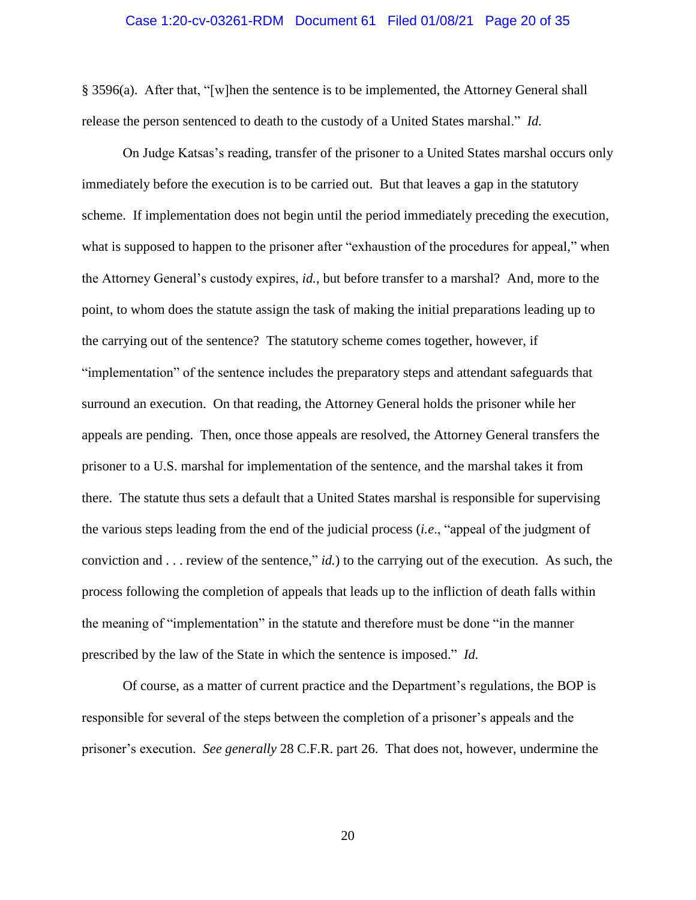#### Case 1:20-cv-03261-RDM Document 61 Filed 01/08/21 Page 20 of 35

§ 3596(a). After that, "[w]hen the sentence is to be implemented, the Attorney General shall release the person sentenced to death to the custody of a United States marshal." *Id.*

On Judge Katsas's reading, transfer of the prisoner to a United States marshal occurs only immediately before the execution is to be carried out. But that leaves a gap in the statutory scheme. If implementation does not begin until the period immediately preceding the execution, what is supposed to happen to the prisoner after "exhaustion of the procedures for appeal," when the Attorney General's custody expires, *id.*, but before transfer to a marshal? And, more to the point, to whom does the statute assign the task of making the initial preparations leading up to the carrying out of the sentence? The statutory scheme comes together, however, if "implementation" of the sentence includes the preparatory steps and attendant safeguards that surround an execution. On that reading, the Attorney General holds the prisoner while her appeals are pending. Then, once those appeals are resolved, the Attorney General transfers the prisoner to a U.S. marshal for implementation of the sentence, and the marshal takes it from there. The statute thus sets a default that a United States marshal is responsible for supervising the various steps leading from the end of the judicial process (*i.e*., "appeal of the judgment of conviction and . . . review of the sentence," *id.*) to the carrying out of the execution. As such, the process following the completion of appeals that leads up to the infliction of death falls within the meaning of "implementation" in the statute and therefore must be done "in the manner prescribed by the law of the State in which the sentence is imposed." *Id.*

Of course, as a matter of current practice and the Department's regulations, the BOP is responsible for several of the steps between the completion of a prisoner's appeals and the prisoner's execution. *See generally* 28 C.F.R. part 26. That does not, however, undermine the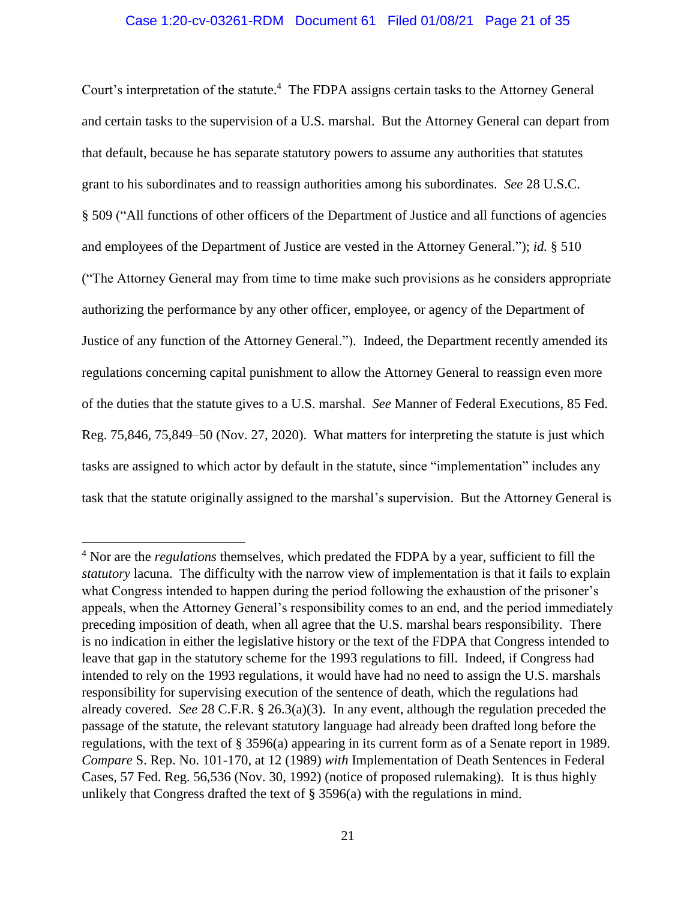## Case 1:20-cv-03261-RDM Document 61 Filed 01/08/21 Page 21 of 35

Court's interpretation of the statute. 4 The FDPA assigns certain tasks to the Attorney General and certain tasks to the supervision of a U.S. marshal. But the Attorney General can depart from that default, because he has separate statutory powers to assume any authorities that statutes grant to his subordinates and to reassign authorities among his subordinates. *See* 28 U.S.C. § 509 ("All functions of other officers of the Department of Justice and all functions of agencies and employees of the Department of Justice are vested in the Attorney General."); *id.* § 510 ("The Attorney General may from time to time make such provisions as he considers appropriate authorizing the performance by any other officer, employee, or agency of the Department of Justice of any function of the Attorney General."). Indeed, the Department recently amended its regulations concerning capital punishment to allow the Attorney General to reassign even more of the duties that the statute gives to a U.S. marshal. *See* Manner of Federal Executions, 85 Fed. Reg. 75,846, 75,849–50 (Nov. 27, 2020). What matters for interpreting the statute is just which tasks are assigned to which actor by default in the statute, since "implementation" includes any task that the statute originally assigned to the marshal's supervision. But the Attorney General is

 $\overline{a}$ 

<sup>4</sup> Nor are the *regulations* themselves, which predated the FDPA by a year, sufficient to fill the *statutory* lacuna. The difficulty with the narrow view of implementation is that it fails to explain what Congress intended to happen during the period following the exhaustion of the prisoner's appeals, when the Attorney General's responsibility comes to an end, and the period immediately preceding imposition of death, when all agree that the U.S. marshal bears responsibility. There is no indication in either the legislative history or the text of the FDPA that Congress intended to leave that gap in the statutory scheme for the 1993 regulations to fill. Indeed, if Congress had intended to rely on the 1993 regulations, it would have had no need to assign the U.S. marshals responsibility for supervising execution of the sentence of death, which the regulations had already covered. *See* 28 C.F.R. § 26.3(a)(3). In any event, although the regulation preceded the passage of the statute, the relevant statutory language had already been drafted long before the regulations, with the text of § 3596(a) appearing in its current form as of a Senate report in 1989. *Compare* S. Rep. No. 101-170, at 12 (1989) *with* Implementation of Death Sentences in Federal Cases, 57 Fed. Reg. 56,536 (Nov. 30, 1992) (notice of proposed rulemaking). It is thus highly unlikely that Congress drafted the text of  $\S$  3596(a) with the regulations in mind.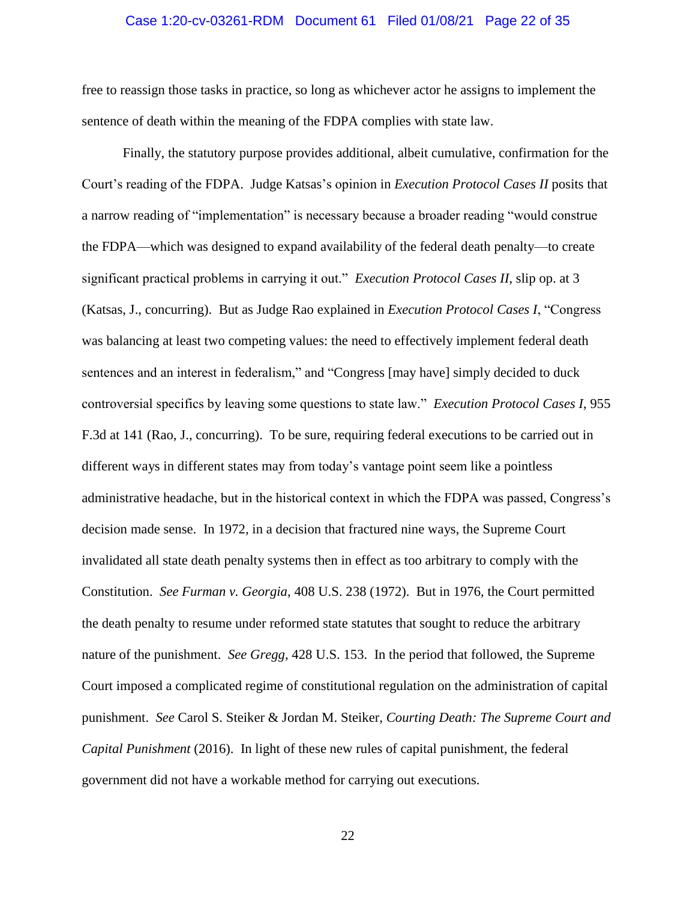### Case 1:20-cv-03261-RDM Document 61 Filed 01/08/21 Page 22 of 35

free to reassign those tasks in practice, so long as whichever actor he assigns to implement the sentence of death within the meaning of the FDPA complies with state law.

Finally, the statutory purpose provides additional, albeit cumulative, confirmation for the Court's reading of the FDPA. Judge Katsas's opinion in *Execution Protocol Cases II* posits that a narrow reading of "implementation" is necessary because a broader reading "would construe the FDPA—which was designed to expand availability of the federal death penalty—to create significant practical problems in carrying it out." *Execution Protocol Cases II*, slip op. at 3 (Katsas, J., concurring). But as Judge Rao explained in *Execution Protocol Cases I*, "Congress was balancing at least two competing values: the need to effectively implement federal death sentences and an interest in federalism," and "Congress [may have] simply decided to duck controversial specifics by leaving some questions to state law." *Execution Protocol Cases I*, 955 F.3d at 141 (Rao, J., concurring). To be sure, requiring federal executions to be carried out in different ways in different states may from today's vantage point seem like a pointless administrative headache, but in the historical context in which the FDPA was passed, Congress's decision made sense. In 1972, in a decision that fractured nine ways, the Supreme Court invalidated all state death penalty systems then in effect as too arbitrary to comply with the Constitution. *See Furman v. Georgia*, 408 U.S. 238 (1972). But in 1976, the Court permitted the death penalty to resume under reformed state statutes that sought to reduce the arbitrary nature of the punishment. *See Gregg*, 428 U.S. 153. In the period that followed, the Supreme Court imposed a complicated regime of constitutional regulation on the administration of capital punishment. *See* Carol S. Steiker & Jordan M. Steiker, *Courting Death: The Supreme Court and Capital Punishment* (2016). In light of these new rules of capital punishment, the federal government did not have a workable method for carrying out executions.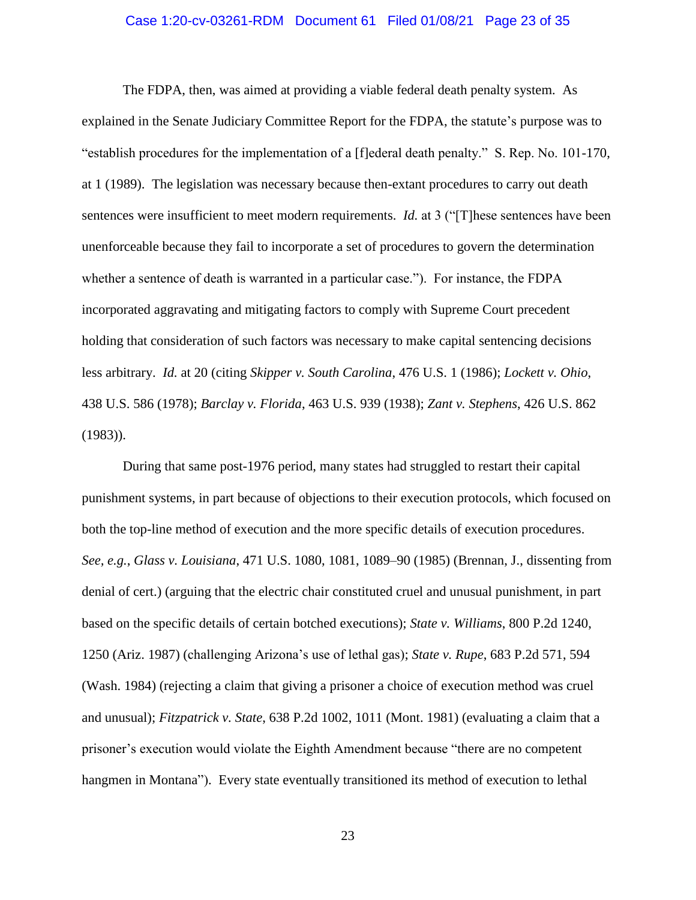### Case 1:20-cv-03261-RDM Document 61 Filed 01/08/21 Page 23 of 35

The FDPA, then, was aimed at providing a viable federal death penalty system. As explained in the Senate Judiciary Committee Report for the FDPA, the statute's purpose was to "establish procedures for the implementation of a [f]ederal death penalty." S. Rep. No. 101-170, at 1 (1989). The legislation was necessary because then-extant procedures to carry out death sentences were insufficient to meet modern requirements. *Id.* at 3 ("[T] hese sentences have been unenforceable because they fail to incorporate a set of procedures to govern the determination whether a sentence of death is warranted in a particular case."). For instance, the FDPA incorporated aggravating and mitigating factors to comply with Supreme Court precedent holding that consideration of such factors was necessary to make capital sentencing decisions less arbitrary. *Id.* at 20 (citing *Skipper v. South Carolina*, 476 U.S. 1 (1986); *Lockett v. Ohio*, 438 U.S. 586 (1978); *Barclay v. Florida*, 463 U.S. 939 (1938); *Zant v. Stephens*, 426 U.S. 862 (1983)).

During that same post-1976 period, many states had struggled to restart their capital punishment systems, in part because of objections to their execution protocols, which focused on both the top-line method of execution and the more specific details of execution procedures. *See, e.g.*, *Glass v. Louisiana*, 471 U.S. 1080, 1081, 1089–90 (1985) (Brennan, J., dissenting from denial of cert.) (arguing that the electric chair constituted cruel and unusual punishment, in part based on the specific details of certain botched executions); *State v. Williams*, 800 P.2d 1240, 1250 (Ariz. 1987) (challenging Arizona's use of lethal gas); *State v. Rupe*, 683 P.2d 571, 594 (Wash. 1984) (rejecting a claim that giving a prisoner a choice of execution method was cruel and unusual); *Fitzpatrick v. State*, 638 P.2d 1002, 1011 (Mont. 1981) (evaluating a claim that a prisoner's execution would violate the Eighth Amendment because "there are no competent hangmen in Montana"). Every state eventually transitioned its method of execution to lethal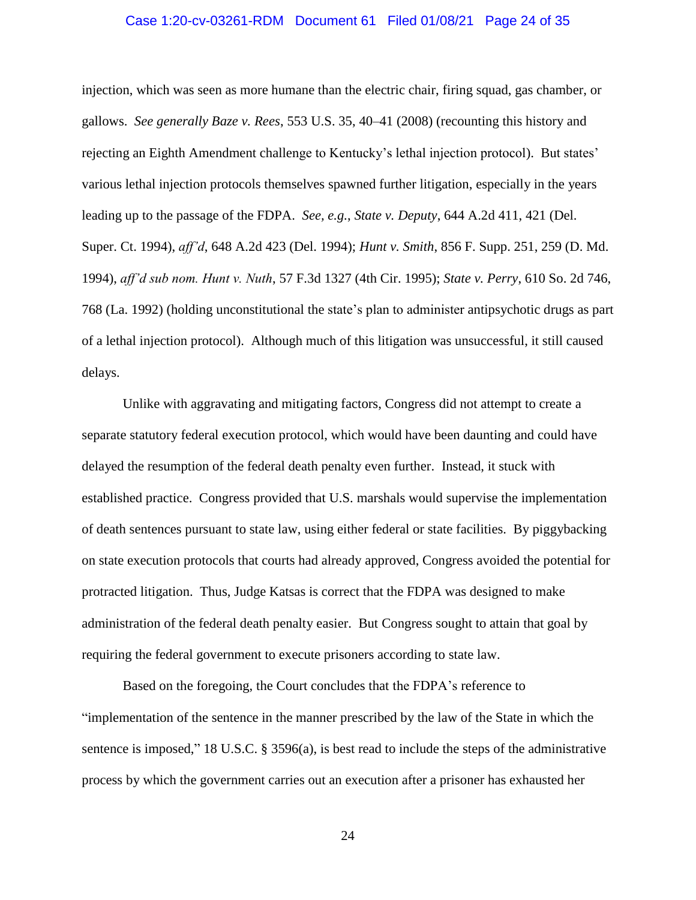### Case 1:20-cv-03261-RDM Document 61 Filed 01/08/21 Page 24 of 35

injection, which was seen as more humane than the electric chair, firing squad, gas chamber, or gallows. *See generally Baze v. Rees*, 553 U.S. 35, 40–41 (2008) (recounting this history and rejecting an Eighth Amendment challenge to Kentucky's lethal injection protocol). But states' various lethal injection protocols themselves spawned further litigation, especially in the years leading up to the passage of the FDPA. *See, e.g.*, *State v. Deputy*, 644 A.2d 411, 421 (Del. Super. Ct. 1994), *aff'd*, 648 A.2d 423 (Del. 1994); *Hunt v. Smith*, 856 F. Supp. 251, 259 (D. Md. 1994), *aff'd sub nom. Hunt v. Nuth*, 57 F.3d 1327 (4th Cir. 1995); *State v. Perry*, 610 So. 2d 746, 768 (La. 1992) (holding unconstitutional the state's plan to administer antipsychotic drugs as part of a lethal injection protocol). Although much of this litigation was unsuccessful, it still caused delays.

Unlike with aggravating and mitigating factors, Congress did not attempt to create a separate statutory federal execution protocol, which would have been daunting and could have delayed the resumption of the federal death penalty even further. Instead, it stuck with established practice. Congress provided that U.S. marshals would supervise the implementation of death sentences pursuant to state law, using either federal or state facilities. By piggybacking on state execution protocols that courts had already approved, Congress avoided the potential for protracted litigation. Thus, Judge Katsas is correct that the FDPA was designed to make administration of the federal death penalty easier. But Congress sought to attain that goal by requiring the federal government to execute prisoners according to state law.

Based on the foregoing, the Court concludes that the FDPA's reference to "implementation of the sentence in the manner prescribed by the law of the State in which the sentence is imposed," 18 U.S.C. § 3596(a), is best read to include the steps of the administrative process by which the government carries out an execution after a prisoner has exhausted her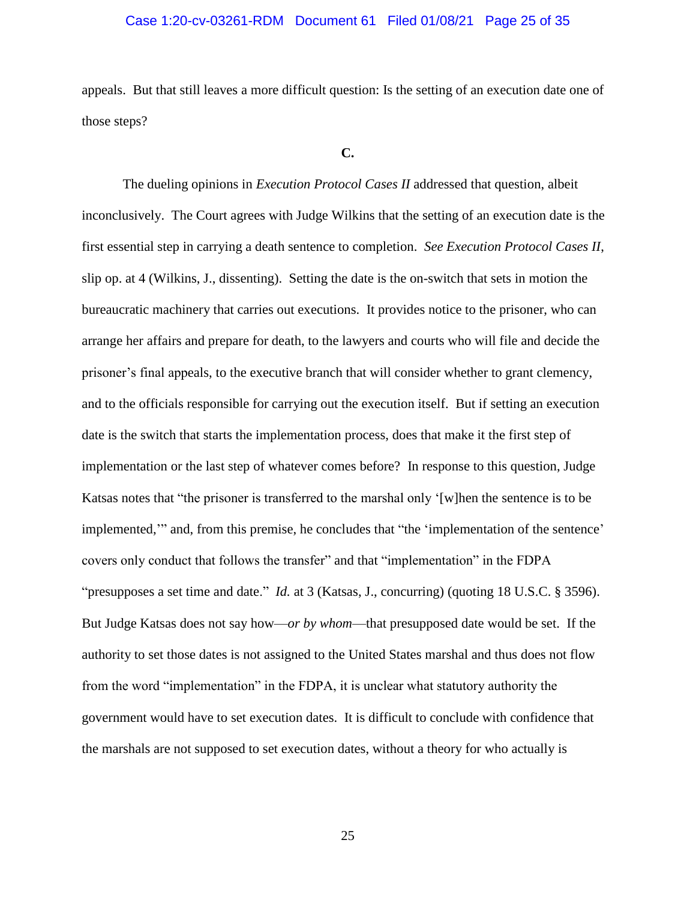## Case 1:20-cv-03261-RDM Document 61 Filed 01/08/21 Page 25 of 35

appeals. But that still leaves a more difficult question: Is the setting of an execution date one of those steps?

#### **C.**

The dueling opinions in *Execution Protocol Cases II* addressed that question, albeit inconclusively. The Court agrees with Judge Wilkins that the setting of an execution date is the first essential step in carrying a death sentence to completion. *See Execution Protocol Cases II*, slip op. at 4 (Wilkins, J., dissenting). Setting the date is the on-switch that sets in motion the bureaucratic machinery that carries out executions. It provides notice to the prisoner, who can arrange her affairs and prepare for death, to the lawyers and courts who will file and decide the prisoner's final appeals, to the executive branch that will consider whether to grant clemency, and to the officials responsible for carrying out the execution itself. But if setting an execution date is the switch that starts the implementation process, does that make it the first step of implementation or the last step of whatever comes before? In response to this question, Judge Katsas notes that "the prisoner is transferred to the marshal only '[w]hen the sentence is to be implemented,'" and, from this premise, he concludes that "the 'implementation of the sentence' covers only conduct that follows the transfer" and that "implementation" in the FDPA "presupposes a set time and date." *Id.* at 3 (Katsas, J., concurring) (quoting 18 U.S.C. § 3596). But Judge Katsas does not say how—*or by whom*—that presupposed date would be set. If the authority to set those dates is not assigned to the United States marshal and thus does not flow from the word "implementation" in the FDPA, it is unclear what statutory authority the government would have to set execution dates. It is difficult to conclude with confidence that the marshals are not supposed to set execution dates, without a theory for who actually is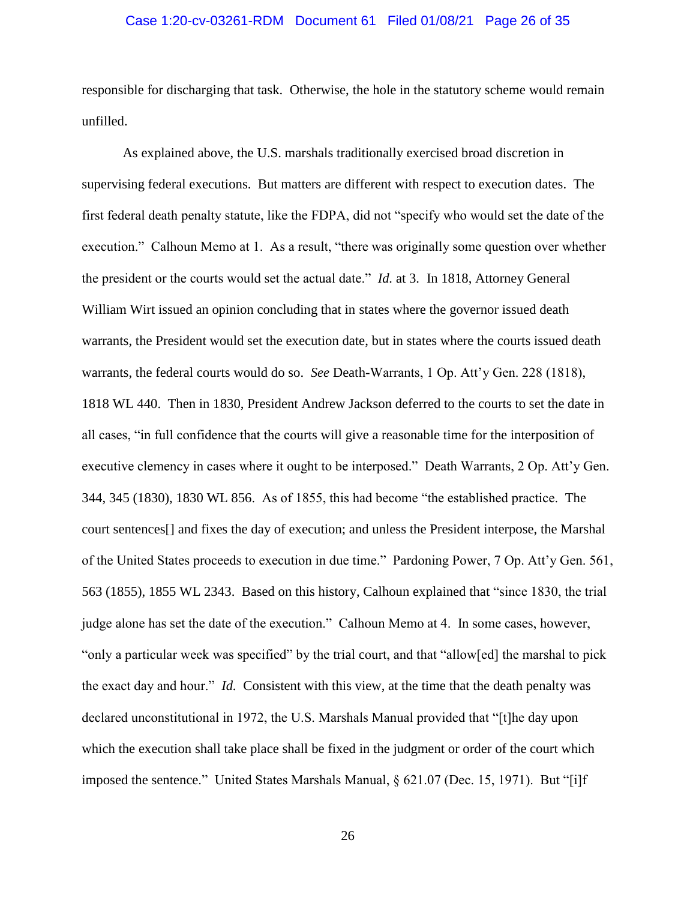### Case 1:20-cv-03261-RDM Document 61 Filed 01/08/21 Page 26 of 35

responsible for discharging that task. Otherwise, the hole in the statutory scheme would remain unfilled.

As explained above, the U.S. marshals traditionally exercised broad discretion in supervising federal executions. But matters are different with respect to execution dates. The first federal death penalty statute, like the FDPA, did not "specify who would set the date of the execution." Calhoun Memo at 1. As a result, "there was originally some question over whether the president or the courts would set the actual date." *Id.* at 3. In 1818, Attorney General William Wirt issued an opinion concluding that in states where the governor issued death warrants, the President would set the execution date, but in states where the courts issued death warrants, the federal courts would do so. *See* Death-Warrants, 1 Op. Att'y Gen. 228 (1818), 1818 WL 440. Then in 1830, President Andrew Jackson deferred to the courts to set the date in all cases, "in full confidence that the courts will give a reasonable time for the interposition of executive clemency in cases where it ought to be interposed." Death Warrants, 2 Op. Att'y Gen. 344, 345 (1830), 1830 WL 856. As of 1855, this had become "the established practice. The court sentences[] and fixes the day of execution; and unless the President interpose, the Marshal of the United States proceeds to execution in due time." Pardoning Power, 7 Op. Att'y Gen. 561, 563 (1855), 1855 WL 2343. Based on this history, Calhoun explained that "since 1830, the trial judge alone has set the date of the execution." Calhoun Memo at 4. In some cases, however, "only a particular week was specified" by the trial court, and that "allow[ed] the marshal to pick the exact day and hour." *Id.* Consistent with this view, at the time that the death penalty was declared unconstitutional in 1972, the U.S. Marshals Manual provided that "[t]he day upon which the execution shall take place shall be fixed in the judgment or order of the court which imposed the sentence." United States Marshals Manual, § 621.07 (Dec. 15, 1971). But "[i]f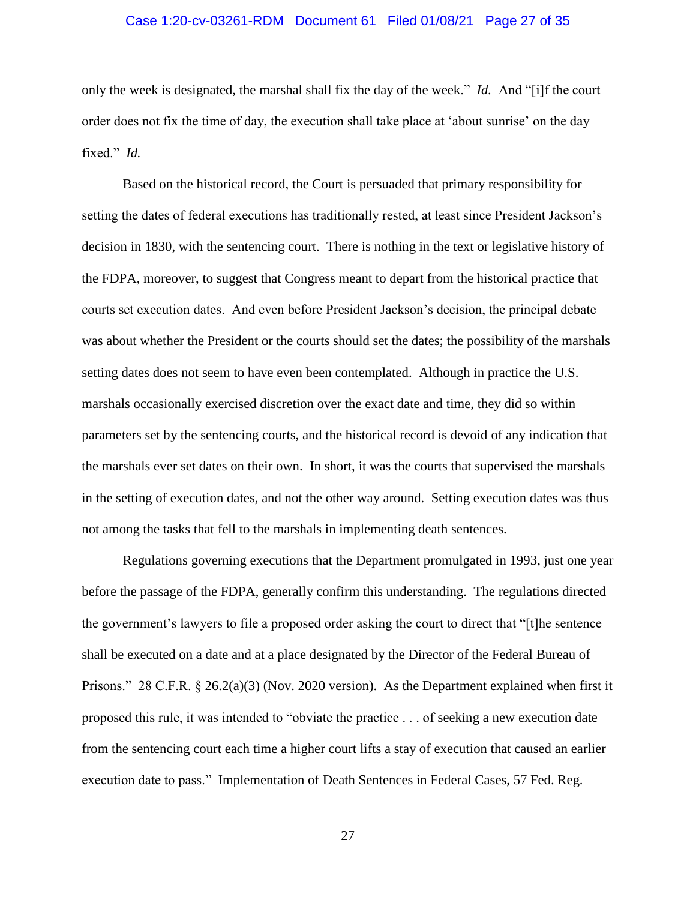## Case 1:20-cv-03261-RDM Document 61 Filed 01/08/21 Page 27 of 35

only the week is designated, the marshal shall fix the day of the week." *Id.* And "[i]f the court order does not fix the time of day, the execution shall take place at 'about sunrise' on the day fixed." *Id.*

Based on the historical record, the Court is persuaded that primary responsibility for setting the dates of federal executions has traditionally rested, at least since President Jackson's decision in 1830, with the sentencing court. There is nothing in the text or legislative history of the FDPA, moreover, to suggest that Congress meant to depart from the historical practice that courts set execution dates. And even before President Jackson's decision, the principal debate was about whether the President or the courts should set the dates; the possibility of the marshals setting dates does not seem to have even been contemplated. Although in practice the U.S. marshals occasionally exercised discretion over the exact date and time, they did so within parameters set by the sentencing courts, and the historical record is devoid of any indication that the marshals ever set dates on their own. In short, it was the courts that supervised the marshals in the setting of execution dates, and not the other way around. Setting execution dates was thus not among the tasks that fell to the marshals in implementing death sentences.

Regulations governing executions that the Department promulgated in 1993, just one year before the passage of the FDPA, generally confirm this understanding. The regulations directed the government's lawyers to file a proposed order asking the court to direct that "[t]he sentence shall be executed on a date and at a place designated by the Director of the Federal Bureau of Prisons." 28 C.F.R. § 26.2(a)(3) (Nov. 2020 version). As the Department explained when first it proposed this rule, it was intended to "obviate the practice . . . of seeking a new execution date from the sentencing court each time a higher court lifts a stay of execution that caused an earlier execution date to pass." Implementation of Death Sentences in Federal Cases, 57 Fed. Reg.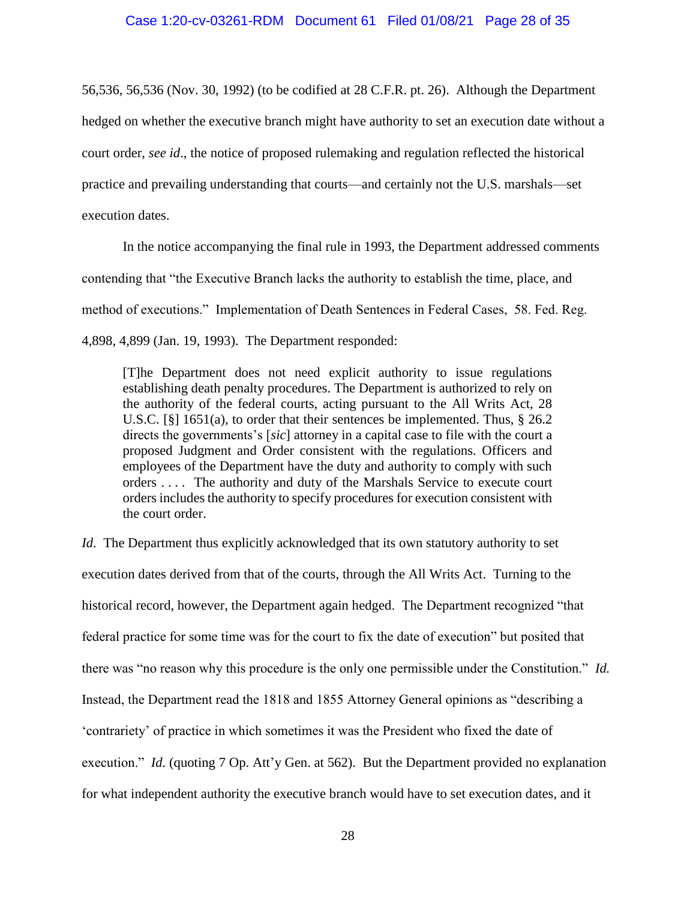56,536, 56,536 (Nov. 30, 1992) (to be codified at 28 C.F.R. pt. 26). Although the Department hedged on whether the executive branch might have authority to set an execution date without a court order, *see id*., the notice of proposed rulemaking and regulation reflected the historical practice and prevailing understanding that courts—and certainly not the U.S. marshals—set execution dates.

In the notice accompanying the final rule in 1993, the Department addressed comments contending that "the Executive Branch lacks the authority to establish the time, place, and method of executions." Implementation of Death Sentences in Federal Cases, 58. Fed. Reg. 4,898, 4,899 (Jan. 19, 1993). The Department responded:

[T]he Department does not need explicit authority to issue regulations establishing death penalty procedures. The Department is authorized to rely on the authority of the federal courts, acting pursuant to the All Writs Act, 28 U.S.C. [§] 1651(a), to order that their sentences be implemented. Thus, § 26.2 directs the governments's [*sic*] attorney in a capital case to file with the court a proposed Judgment and Order consistent with the regulations. Officers and employees of the Department have the duty and authority to comply with such orders . . . . The authority and duty of the Marshals Service to execute court orders includes the authority to specify procedures for execution consistent with the court order.

*Id.* The Department thus explicitly acknowledged that its own statutory authority to set execution dates derived from that of the courts, through the All Writs Act. Turning to the historical record, however, the Department again hedged. The Department recognized "that federal practice for some time was for the court to fix the date of execution" but posited that there was "no reason why this procedure is the only one permissible under the Constitution." *Id.* Instead, the Department read the 1818 and 1855 Attorney General opinions as "describing a 'contrariety' of practice in which sometimes it was the President who fixed the date of execution." *Id.* (quoting 7 Op. Att'y Gen. at 562). But the Department provided no explanation for what independent authority the executive branch would have to set execution dates, and it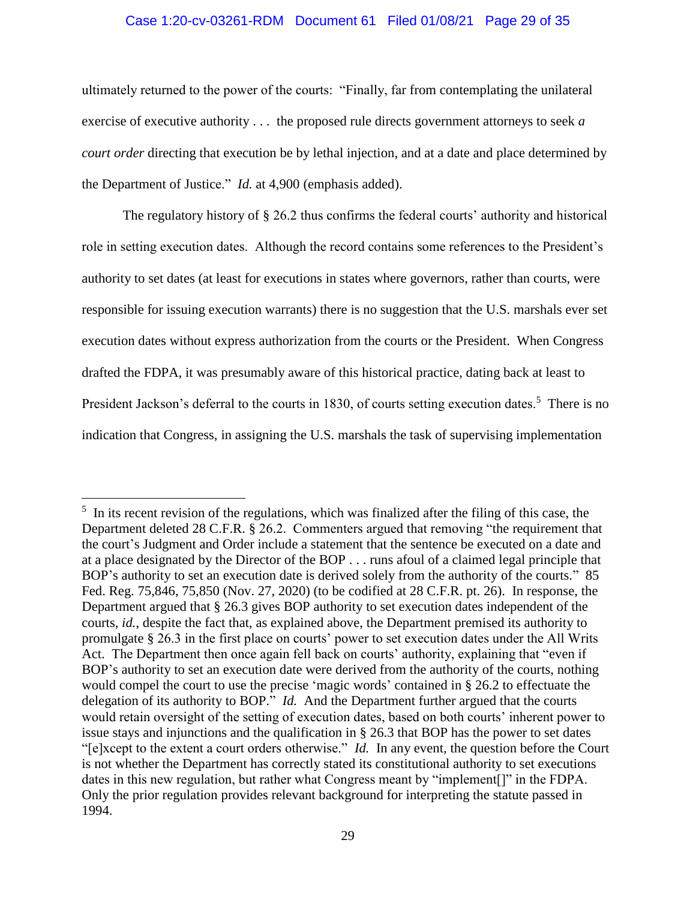## Case 1:20-cv-03261-RDM Document 61 Filed 01/08/21 Page 29 of 35

ultimately returned to the power of the courts: "Finally, far from contemplating the unilateral exercise of executive authority . . . the proposed rule directs government attorneys to seek *a court order* directing that execution be by lethal injection, and at a date and place determined by the Department of Justice." *Id.* at 4,900 (emphasis added).

The regulatory history of § 26.2 thus confirms the federal courts' authority and historical role in setting execution dates. Although the record contains some references to the President's authority to set dates (at least for executions in states where governors, rather than courts, were responsible for issuing execution warrants) there is no suggestion that the U.S. marshals ever set execution dates without express authorization from the courts or the President. When Congress drafted the FDPA, it was presumably aware of this historical practice, dating back at least to President Jackson's deferral to the courts in 1830, of courts setting execution dates.<sup>5</sup> There is no indication that Congress, in assigning the U.S. marshals the task of supervising implementation

 $\overline{\phantom{a}}$ 

<sup>&</sup>lt;sup>5</sup> In its recent revision of the regulations, which was finalized after the filing of this case, the Department deleted 28 C.F.R. § 26.2. Commenters argued that removing "the requirement that the court's Judgment and Order include a statement that the sentence be executed on a date and at a place designated by the Director of the BOP . . . runs afoul of a claimed legal principle that BOP's authority to set an execution date is derived solely from the authority of the courts." 85 Fed. Reg. 75,846, 75,850 (Nov. 27, 2020) (to be codified at 28 C.F.R. pt. 26). In response, the Department argued that § 26.3 gives BOP authority to set execution dates independent of the courts, *id.*, despite the fact that, as explained above, the Department premised its authority to promulgate § 26.3 in the first place on courts' power to set execution dates under the All Writs Act. The Department then once again fell back on courts' authority, explaining that "even if BOP's authority to set an execution date were derived from the authority of the courts, nothing would compel the court to use the precise 'magic words' contained in § 26.2 to effectuate the delegation of its authority to BOP." *Id.* And the Department further argued that the courts would retain oversight of the setting of execution dates, based on both courts' inherent power to issue stays and injunctions and the qualification in § 26.3 that BOP has the power to set dates "[e]xcept to the extent a court orders otherwise." *Id.* In any event, the question before the Court is not whether the Department has correctly stated its constitutional authority to set executions dates in this new regulation, but rather what Congress meant by "implement[]" in the FDPA. Only the prior regulation provides relevant background for interpreting the statute passed in 1994.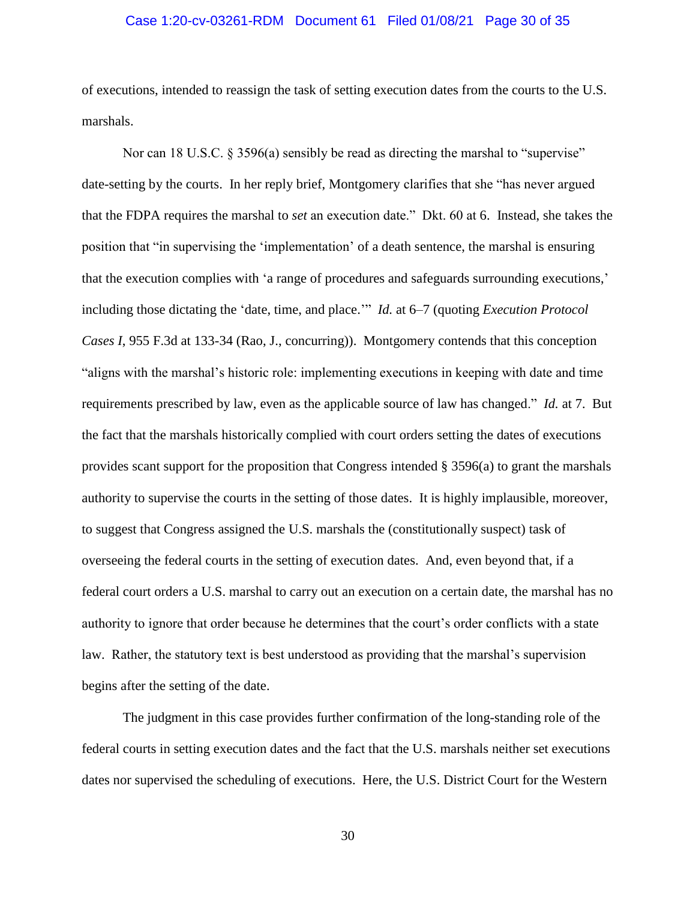### Case 1:20-cv-03261-RDM Document 61 Filed 01/08/21 Page 30 of 35

of executions, intended to reassign the task of setting execution dates from the courts to the U.S. marshals.

Nor can 18 U.S.C. § 3596(a) sensibly be read as directing the marshal to "supervise" date-setting by the courts. In her reply brief, Montgomery clarifies that she "has never argued that the FDPA requires the marshal to *set* an execution date." Dkt. 60 at 6. Instead, she takes the position that "in supervising the 'implementation' of a death sentence, the marshal is ensuring that the execution complies with 'a range of procedures and safeguards surrounding executions,' including those dictating the 'date, time, and place.'" *Id.* at 6–7 (quoting *Execution Protocol Cases I*, 955 F.3d at 133-34 (Rao, J., concurring)). Montgomery contends that this conception "aligns with the marshal's historic role: implementing executions in keeping with date and time requirements prescribed by law, even as the applicable source of law has changed." *Id.* at 7. But the fact that the marshals historically complied with court orders setting the dates of executions provides scant support for the proposition that Congress intended § 3596(a) to grant the marshals authority to supervise the courts in the setting of those dates. It is highly implausible, moreover, to suggest that Congress assigned the U.S. marshals the (constitutionally suspect) task of overseeing the federal courts in the setting of execution dates. And, even beyond that, if a federal court orders a U.S. marshal to carry out an execution on a certain date, the marshal has no authority to ignore that order because he determines that the court's order conflicts with a state law. Rather, the statutory text is best understood as providing that the marshal's supervision begins after the setting of the date.

The judgment in this case provides further confirmation of the long-standing role of the federal courts in setting execution dates and the fact that the U.S. marshals neither set executions dates nor supervised the scheduling of executions. Here, the U.S. District Court for the Western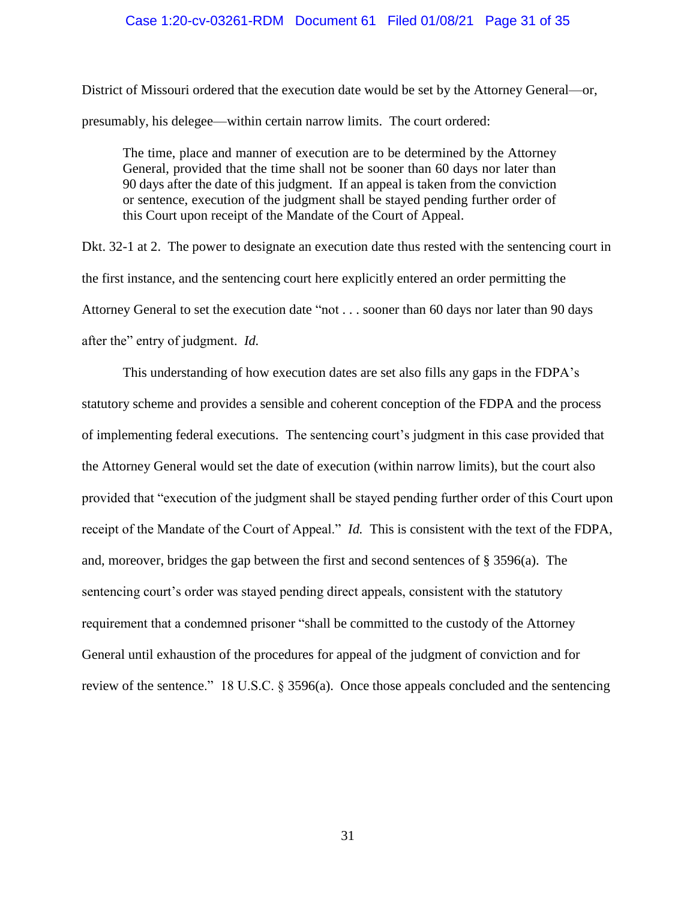### Case 1:20-cv-03261-RDM Document 61 Filed 01/08/21 Page 31 of 35

District of Missouri ordered that the execution date would be set by the Attorney General—or, presumably, his delegee—within certain narrow limits. The court ordered:

The time, place and manner of execution are to be determined by the Attorney General, provided that the time shall not be sooner than 60 days nor later than 90 days after the date of this judgment. If an appeal is taken from the conviction or sentence, execution of the judgment shall be stayed pending further order of this Court upon receipt of the Mandate of the Court of Appeal.

Dkt. 32-1 at 2. The power to designate an execution date thus rested with the sentencing court in the first instance, and the sentencing court here explicitly entered an order permitting the Attorney General to set the execution date "not . . . sooner than 60 days nor later than 90 days after the" entry of judgment. *Id.*

This understanding of how execution dates are set also fills any gaps in the FDPA's statutory scheme and provides a sensible and coherent conception of the FDPA and the process of implementing federal executions. The sentencing court's judgment in this case provided that the Attorney General would set the date of execution (within narrow limits), but the court also provided that "execution of the judgment shall be stayed pending further order of this Court upon receipt of the Mandate of the Court of Appeal." *Id.* This is consistent with the text of the FDPA, and, moreover, bridges the gap between the first and second sentences of § 3596(a). The sentencing court's order was stayed pending direct appeals, consistent with the statutory requirement that a condemned prisoner "shall be committed to the custody of the Attorney General until exhaustion of the procedures for appeal of the judgment of conviction and for review of the sentence." 18 U.S.C. § 3596(a). Once those appeals concluded and the sentencing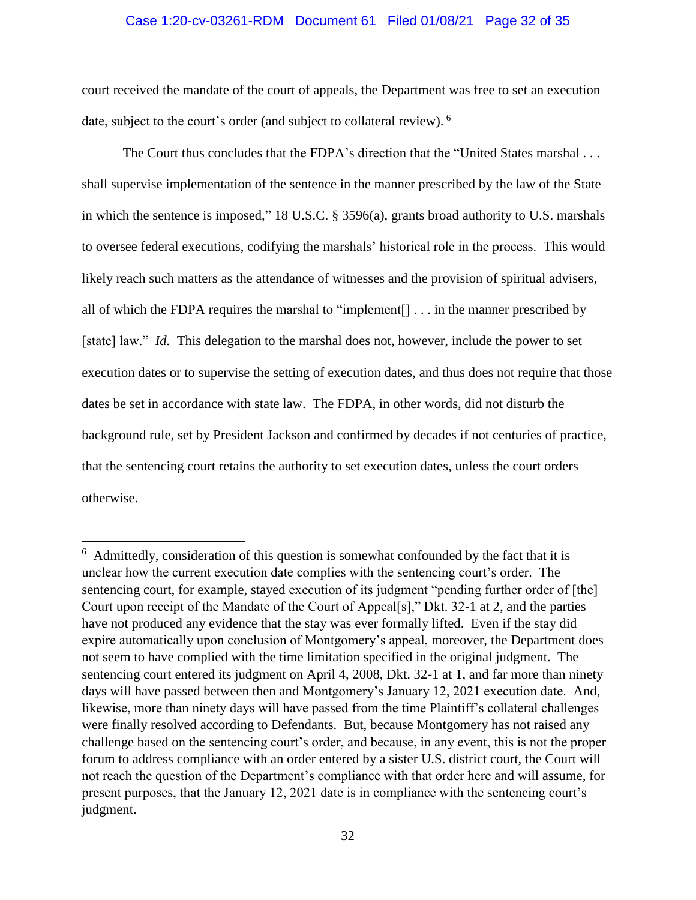## Case 1:20-cv-03261-RDM Document 61 Filed 01/08/21 Page 32 of 35

court received the mandate of the court of appeals, the Department was free to set an execution date, subject to the court's order (and subject to collateral review). <sup>6</sup>

The Court thus concludes that the FDPA's direction that the "United States marshal . . . shall supervise implementation of the sentence in the manner prescribed by the law of the State in which the sentence is imposed," 18 U.S.C. § 3596(a), grants broad authority to U.S. marshals to oversee federal executions, codifying the marshals' historical role in the process. This would likely reach such matters as the attendance of witnesses and the provision of spiritual advisers, all of which the FDPA requires the marshal to "implement[] . . . in the manner prescribed by [state] law." *Id.* This delegation to the marshal does not, however, include the power to set execution dates or to supervise the setting of execution dates, and thus does not require that those dates be set in accordance with state law. The FDPA, in other words, did not disturb the background rule, set by President Jackson and confirmed by decades if not centuries of practice, that the sentencing court retains the authority to set execution dates, unless the court orders otherwise.

 $\overline{a}$ 

 $6$  Admittedly, consideration of this question is somewhat confounded by the fact that it is unclear how the current execution date complies with the sentencing court's order. The sentencing court, for example, stayed execution of its judgment "pending further order of [the] Court upon receipt of the Mandate of the Court of Appeal[s]," Dkt. 32-1 at 2, and the parties have not produced any evidence that the stay was ever formally lifted. Even if the stay did expire automatically upon conclusion of Montgomery's appeal, moreover, the Department does not seem to have complied with the time limitation specified in the original judgment. The sentencing court entered its judgment on April 4, 2008, Dkt. 32-1 at 1, and far more than ninety days will have passed between then and Montgomery's January 12, 2021 execution date. And, likewise, more than ninety days will have passed from the time Plaintiff's collateral challenges were finally resolved according to Defendants. But, because Montgomery has not raised any challenge based on the sentencing court's order, and because, in any event, this is not the proper forum to address compliance with an order entered by a sister U.S. district court, the Court will not reach the question of the Department's compliance with that order here and will assume, for present purposes, that the January 12, 2021 date is in compliance with the sentencing court's judgment.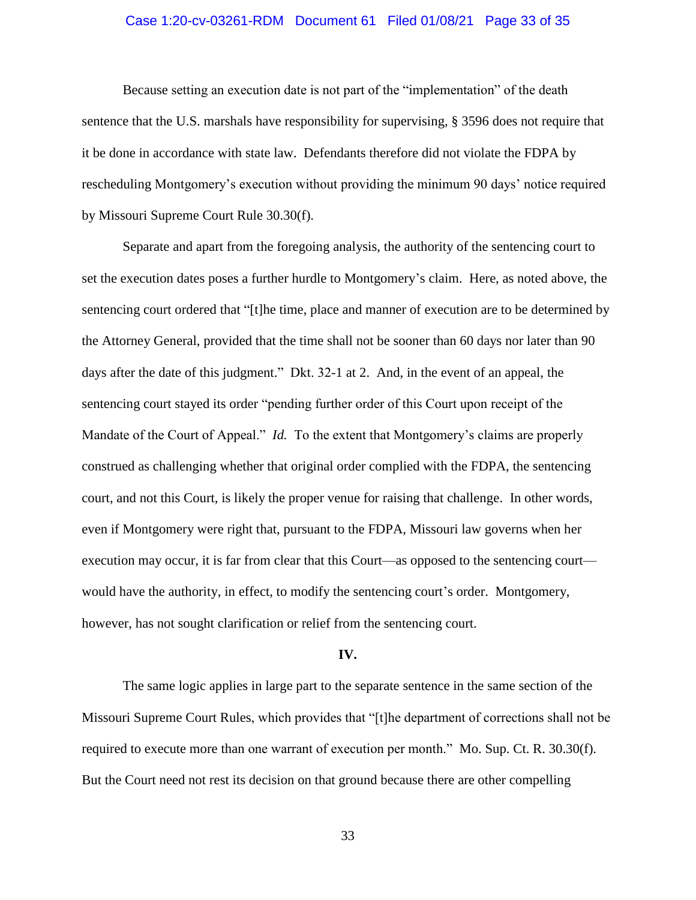## Case 1:20-cv-03261-RDM Document 61 Filed 01/08/21 Page 33 of 35

Because setting an execution date is not part of the "implementation" of the death sentence that the U.S. marshals have responsibility for supervising, § 3596 does not require that it be done in accordance with state law. Defendants therefore did not violate the FDPA by rescheduling Montgomery's execution without providing the minimum 90 days' notice required by Missouri Supreme Court Rule 30.30(f).

Separate and apart from the foregoing analysis, the authority of the sentencing court to set the execution dates poses a further hurdle to Montgomery's claim. Here, as noted above, the sentencing court ordered that "[t]he time, place and manner of execution are to be determined by the Attorney General, provided that the time shall not be sooner than 60 days nor later than 90 days after the date of this judgment." Dkt. 32-1 at 2. And, in the event of an appeal, the sentencing court stayed its order "pending further order of this Court upon receipt of the Mandate of the Court of Appeal." *Id.* To the extent that Montgomery's claims are properly construed as challenging whether that original order complied with the FDPA, the sentencing court, and not this Court, is likely the proper venue for raising that challenge. In other words, even if Montgomery were right that, pursuant to the FDPA, Missouri law governs when her execution may occur, it is far from clear that this Court—as opposed to the sentencing court would have the authority, in effect, to modify the sentencing court's order. Montgomery, however, has not sought clarification or relief from the sentencing court.

#### **IV.**

The same logic applies in large part to the separate sentence in the same section of the Missouri Supreme Court Rules, which provides that "[t]he department of corrections shall not be required to execute more than one warrant of execution per month." Mo. Sup. Ct. R. 30.30(f). But the Court need not rest its decision on that ground because there are other compelling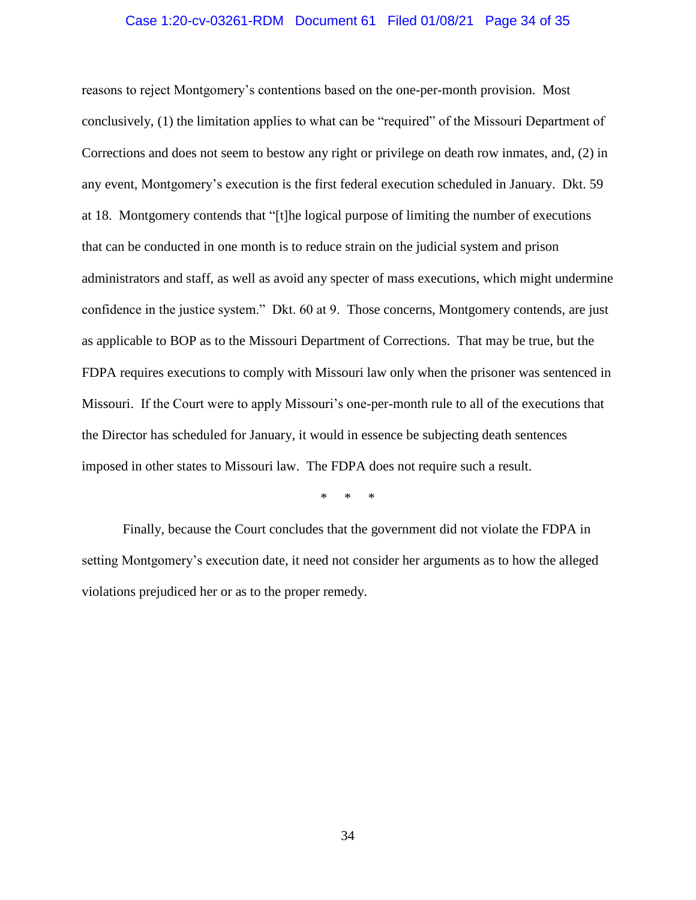### Case 1:20-cv-03261-RDM Document 61 Filed 01/08/21 Page 34 of 35

reasons to reject Montgomery's contentions based on the one-per-month provision. Most conclusively, (1) the limitation applies to what can be "required" of the Missouri Department of Corrections and does not seem to bestow any right or privilege on death row inmates, and, (2) in any event, Montgomery's execution is the first federal execution scheduled in January. Dkt. 59 at 18. Montgomery contends that "[t]he logical purpose of limiting the number of executions that can be conducted in one month is to reduce strain on the judicial system and prison administrators and staff, as well as avoid any specter of mass executions, which might undermine confidence in the justice system." Dkt. 60 at 9. Those concerns, Montgomery contends, are just as applicable to BOP as to the Missouri Department of Corrections. That may be true, but the FDPA requires executions to comply with Missouri law only when the prisoner was sentenced in Missouri. If the Court were to apply Missouri's one-per-month rule to all of the executions that the Director has scheduled for January, it would in essence be subjecting death sentences imposed in other states to Missouri law. The FDPA does not require such a result.

\* \* \*

Finally, because the Court concludes that the government did not violate the FDPA in setting Montgomery's execution date, it need not consider her arguments as to how the alleged violations prejudiced her or as to the proper remedy.